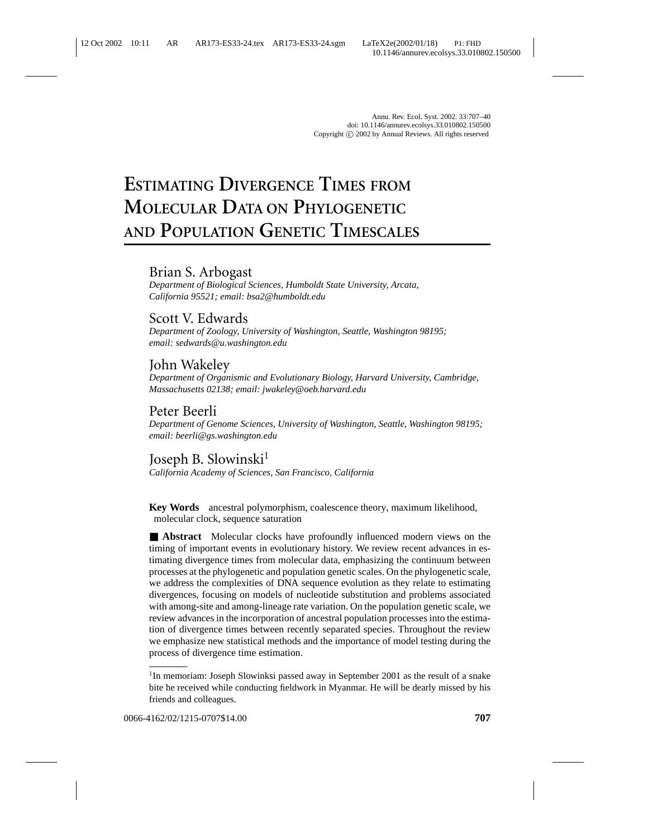# **ESTIMATING DIVERGENCE TIMES FROM MOLECULAR DATA ON PHYLOGENETIC AND POPULATION GENETIC TIMESCALES**

## Brian S. Arbogast

*Department of Biological Sciences, Humboldt State University, Arcata, California 95521; email: bsa2@humboldt.edu*

## Scott V. Edwards

*Department of Zoology, University of Washington, Seattle, Washington 98195; email: sedwards@u.washington.edu*

# John Wakeley

*Department of Organismic and Evolutionary Biology, Harvard University, Cambridge, Massachusetts 02138; email: jwakeley@oeb.harvard.edu*

# Peter Beerli

*Department of Genome Sciences, University of Washington, Seattle, Washington 98195; email: beerli@gs.washington.edu*

# Joseph B. Slowinski<sup>1</sup>

*California Academy of Sciences, San Francisco, California*

**Key Words** ancestral polymorphism, coalescence theory, maximum likelihood, molecular clock, sequence saturation

■ **Abstract** Molecular clocks have profoundly influenced modern views on the timing of important events in evolutionary history. We review recent advances in estimating divergence times from molecular data, emphasizing the continuum between processes at the phylogenetic and population genetic scales. On the phylogenetic scale, we address the complexities of DNA sequence evolution as they relate to estimating divergences, focusing on models of nucleotide substitution and problems associated with among-site and among-lineage rate variation. On the population genetic scale, we review advances in the incorporation of ancestral population processes into the estimation of divergence times between recently separated species. Throughout the review we emphasize new statistical methods and the importance of model testing during the process of divergence time estimation.

 $1$ In memoriam: Joseph Slowinksi passed away in September 2001 as the result of a snake bite he received while conducting fieldwork in Myanmar. He will be dearly missed by his friends and colleagues.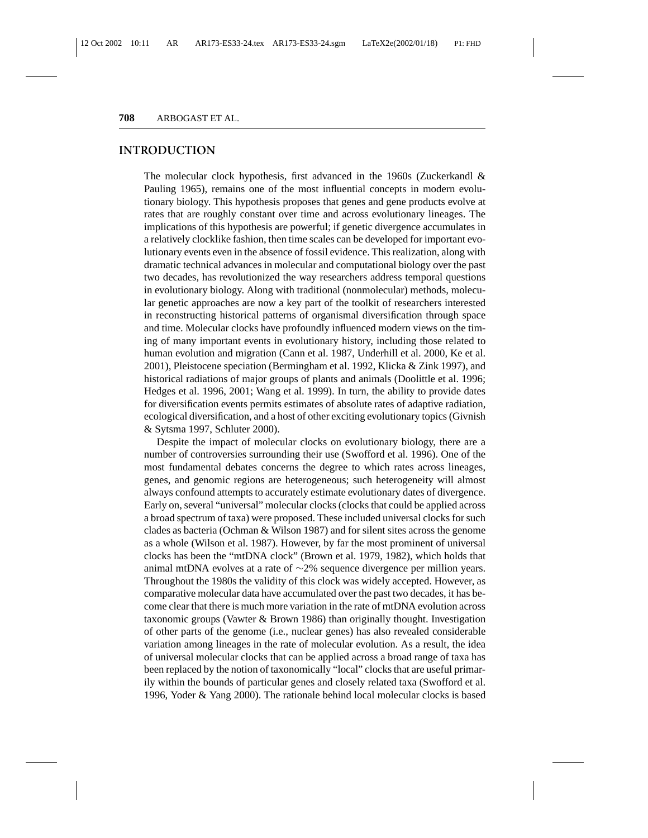#### **INTRODUCTION**

The molecular clock hypothesis, first advanced in the 1960s (Zuckerkandl  $\&$ Pauling 1965), remains one of the most influential concepts in modern evolutionary biology. This hypothesis proposes that genes and gene products evolve at rates that are roughly constant over time and across evolutionary lineages. The implications of this hypothesis are powerful; if genetic divergence accumulates in a relatively clocklike fashion, then time scales can be developed for important evolutionary events even in the absence of fossil evidence. This realization, along with dramatic technical advances in molecular and computational biology over the past two decades, has revolutionized the way researchers address temporal questions in evolutionary biology. Along with traditional (nonmolecular) methods, molecular genetic approaches are now a key part of the toolkit of researchers interested in reconstructing historical patterns of organismal diversification through space and time. Molecular clocks have profoundly influenced modern views on the timing of many important events in evolutionary history, including those related to human evolution and migration (Cann et al. 1987, Underhill et al. 2000, Ke et al. 2001), Pleistocene speciation (Bermingham et al. 1992, Klicka & Zink 1997), and historical radiations of major groups of plants and animals (Doolittle et al. 1996; Hedges et al. 1996, 2001; Wang et al. 1999). In turn, the ability to provide dates for diversification events permits estimates of absolute rates of adaptive radiation, ecological diversification, and a host of other exciting evolutionary topics (Givnish & Sytsma 1997, Schluter 2000).

Despite the impact of molecular clocks on evolutionary biology, there are a number of controversies surrounding their use (Swofford et al. 1996). One of the most fundamental debates concerns the degree to which rates across lineages, genes, and genomic regions are heterogeneous; such heterogeneity will almost always confound attempts to accurately estimate evolutionary dates of divergence. Early on, several "universal" molecular clocks (clocks that could be applied across a broad spectrum of taxa) were proposed. These included universal clocks for such clades as bacteria (Ochman & Wilson 1987) and for silent sites across the genome as a whole (Wilson et al. 1987). However, by far the most prominent of universal clocks has been the "mtDNA clock" (Brown et al. 1979, 1982), which holds that animal mtDNA evolves at a rate of  $\sim$ 2% sequence divergence per million years. Throughout the 1980s the validity of this clock was widely accepted. However, as comparative molecular data have accumulated over the past two decades, it has become clear that there is much more variation in the rate of mtDNA evolution across taxonomic groups (Vawter & Brown 1986) than originally thought. Investigation of other parts of the genome (i.e., nuclear genes) has also revealed considerable variation among lineages in the rate of molecular evolution. As a result, the idea of universal molecular clocks that can be applied across a broad range of taxa has been replaced by the notion of taxonomically "local" clocks that are useful primarily within the bounds of particular genes and closely related taxa (Swofford et al. 1996, Yoder & Yang 2000). The rationale behind local molecular clocks is based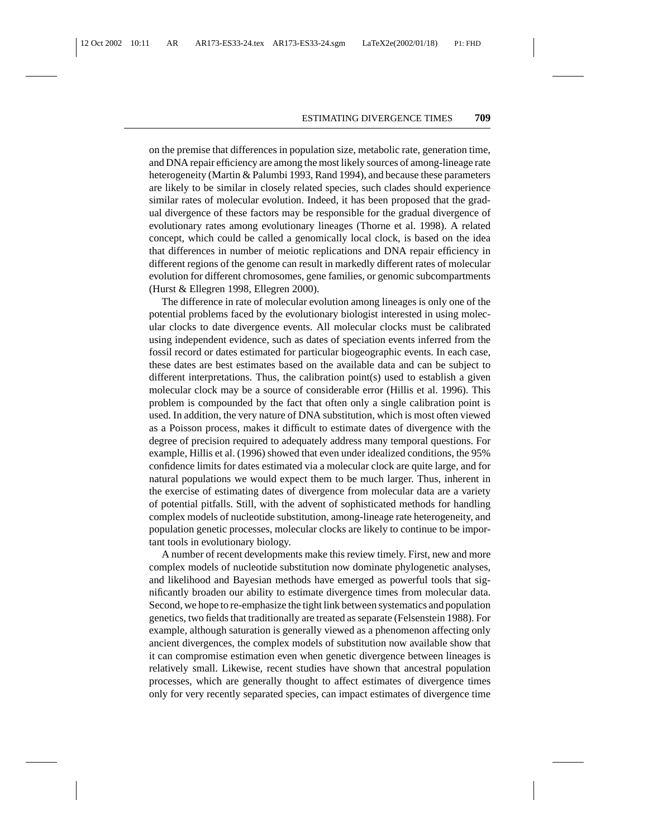on the premise that differences in population size, metabolic rate, generation time, and DNA repair efficiency are among the most likely sources of among-lineage rate heterogeneity (Martin & Palumbi 1993, Rand 1994), and because these parameters are likely to be similar in closely related species, such clades should experience similar rates of molecular evolution. Indeed, it has been proposed that the gradual divergence of these factors may be responsible for the gradual divergence of evolutionary rates among evolutionary lineages (Thorne et al. 1998). A related concept, which could be called a genomically local clock, is based on the idea that differences in number of meiotic replications and DNA repair efficiency in different regions of the genome can result in markedly different rates of molecular evolution for different chromosomes, gene families, or genomic subcompartments (Hurst & Ellegren 1998, Ellegren 2000).

The difference in rate of molecular evolution among lineages is only one of the potential problems faced by the evolutionary biologist interested in using molecular clocks to date divergence events. All molecular clocks must be calibrated using independent evidence, such as dates of speciation events inferred from the fossil record or dates estimated for particular biogeographic events. In each case, these dates are best estimates based on the available data and can be subject to different interpretations. Thus, the calibration point(s) used to establish a given molecular clock may be a source of considerable error (Hillis et al. 1996). This problem is compounded by the fact that often only a single calibration point is used. In addition, the very nature of DNA substitution, which is most often viewed as a Poisson process, makes it difficult to estimate dates of divergence with the degree of precision required to adequately address many temporal questions. For example, Hillis et al. (1996) showed that even under idealized conditions, the 95% confidence limits for dates estimated via a molecular clock are quite large, and for natural populations we would expect them to be much larger. Thus, inherent in the exercise of estimating dates of divergence from molecular data are a variety of potential pitfalls. Still, with the advent of sophisticated methods for handling complex models of nucleotide substitution, among-lineage rate heterogeneity, and population genetic processes, molecular clocks are likely to continue to be important tools in evolutionary biology.

A number of recent developments make this review timely. First, new and more complex models of nucleotide substitution now dominate phylogenetic analyses, and likelihood and Bayesian methods have emerged as powerful tools that significantly broaden our ability to estimate divergence times from molecular data. Second, we hope to re-emphasize the tight link between systematics and population genetics, two fields that traditionally are treated as separate (Felsenstein 1988). For example, although saturation is generally viewed as a phenomenon affecting only ancient divergences, the complex models of substitution now available show that it can compromise estimation even when genetic divergence between lineages is relatively small. Likewise, recent studies have shown that ancestral population processes, which are generally thought to affect estimates of divergence times only for very recently separated species, can impact estimates of divergence time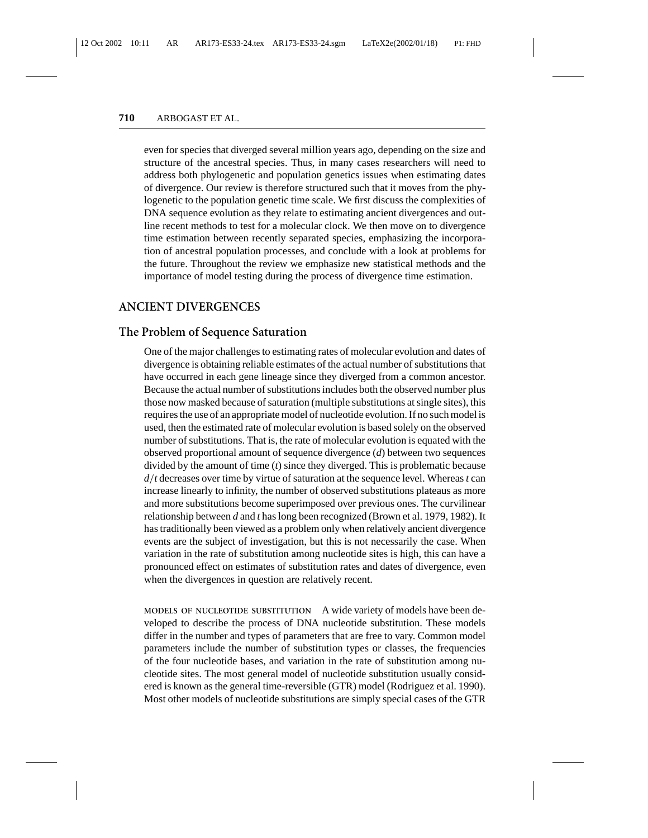even for species that diverged several million years ago, depending on the size and structure of the ancestral species. Thus, in many cases researchers will need to address both phylogenetic and population genetics issues when estimating dates of divergence. Our review is therefore structured such that it moves from the phylogenetic to the population genetic time scale. We first discuss the complexities of DNA sequence evolution as they relate to estimating ancient divergences and outline recent methods to test for a molecular clock. We then move on to divergence time estimation between recently separated species, emphasizing the incorporation of ancestral population processes, and conclude with a look at problems for the future. Throughout the review we emphasize new statistical methods and the importance of model testing during the process of divergence time estimation.

#### **ANCIENT DIVERGENCES**

### **The Problem of Sequence Saturation**

One of the major challenges to estimating rates of molecular evolution and dates of divergence is obtaining reliable estimates of the actual number of substitutions that have occurred in each gene lineage since they diverged from a common ancestor. Because the actual number of substitutions includes both the observed number plus those now masked because of saturation (multiple substitutions at single sites), this requires the use of an appropriate model of nucleotide evolution. If no such model is used, then the estimated rate of molecular evolution is based solely on the observed number of substitutions. That is, the rate of molecular evolution is equated with the observed proportional amount of sequence divergence (*d*) between two sequences divided by the amount of time (*t*) since they diverged. This is problematic because *d*/*t* decreases over time by virtue of saturation at the sequence level. Whereas*t* can increase linearly to infinity, the number of observed substitutions plateaus as more and more substitutions become superimposed over previous ones. The curvilinear relationship between *d* and *t* has long been recognized (Brown et al. 1979, 1982). It has traditionally been viewed as a problem only when relatively ancient divergence events are the subject of investigation, but this is not necessarily the case. When variation in the rate of substitution among nucleotide sites is high, this can have a pronounced effect on estimates of substitution rates and dates of divergence, even when the divergences in question are relatively recent.

**MODELS OF NUCLEOTIDE SUBSTITUTION** A wide variety of models have been developed to describe the process of DNA nucleotide substitution. These models differ in the number and types of parameters that are free to vary. Common model parameters include the number of substitution types or classes, the frequencies of the four nucleotide bases, and variation in the rate of substitution among nucleotide sites. The most general model of nucleotide substitution usually considered is known as the general time-reversible (GTR) model (Rodriguez et al. 1990). Most other models of nucleotide substitutions are simply special cases of the GTR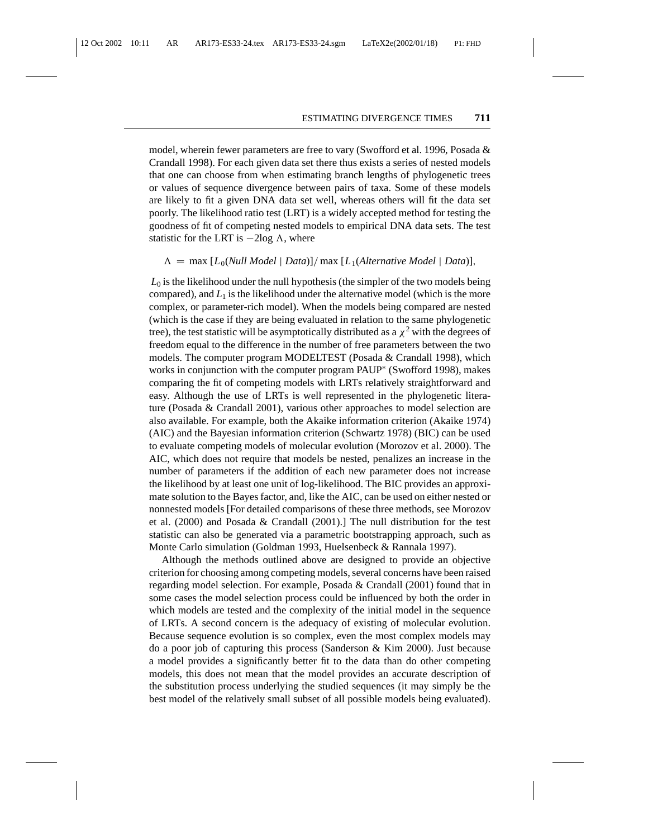model, wherein fewer parameters are free to vary (Swofford et al. 1996, Posada & Crandall 1998). For each given data set there thus exists a series of nested models that one can choose from when estimating branch lengths of phylogenetic trees or values of sequence divergence between pairs of taxa. Some of these models are likely to fit a given DNA data set well, whereas others will fit the data set poorly. The likelihood ratio test (LRT) is a widely accepted method for testing the goodness of fit of competing nested models to empirical DNA data sets. The test statistic for the LRT is  $-2\log \Lambda$ , where

#### $\Lambda$  = max  $[L_0(Null \text{ \textit{Model} } | \text{ \textit{Data}})]$ / max  $[L_1(A \text{ \textit{Iternative} \text{ \textit{Model} } | \text{ \textit{Data}})]$ ,

 $L_0$  is the likelihood under the null hypothesis (the simpler of the two models being compared), and  $L_1$  is the likelihood under the alternative model (which is the more complex, or parameter-rich model). When the models being compared are nested (which is the case if they are being evaluated in relation to the same phylogenetic tree), the test statistic will be asymptotically distributed as a  $\chi^2$  with the degrees of freedom equal to the difference in the number of free parameters between the two models. The computer program MODELTEST (Posada & Crandall 1998), which works in conjunction with the computer program PAUP<sup>∗</sup> (Swofford 1998), makes comparing the fit of competing models with LRTs relatively straightforward and easy. Although the use of LRTs is well represented in the phylogenetic literature (Posada & Crandall 2001), various other approaches to model selection are also available. For example, both the Akaike information criterion (Akaike 1974) (AIC) and the Bayesian information criterion (Schwartz 1978) (BIC) can be used to evaluate competing models of molecular evolution (Morozov et al. 2000). The AIC, which does not require that models be nested, penalizes an increase in the number of parameters if the addition of each new parameter does not increase the likelihood by at least one unit of log-likelihood. The BIC provides an approximate solution to the Bayes factor, and, like the AIC, can be used on either nested or nonnested models [For detailed comparisons of these three methods, see Morozov et al. (2000) and Posada & Crandall (2001).] The null distribution for the test statistic can also be generated via a parametric bootstrapping approach, such as Monte Carlo simulation (Goldman 1993, Huelsenbeck & Rannala 1997).

Although the methods outlined above are designed to provide an objective criterion for choosing among competing models, several concerns have been raised regarding model selection. For example, Posada & Crandall (2001) found that in some cases the model selection process could be influenced by both the order in which models are tested and the complexity of the initial model in the sequence of LRTs. A second concern is the adequacy of existing of molecular evolution. Because sequence evolution is so complex, even the most complex models may do a poor job of capturing this process (Sanderson & Kim 2000). Just because a model provides a significantly better fit to the data than do other competing models, this does not mean that the model provides an accurate description of the substitution process underlying the studied sequences (it may simply be the best model of the relatively small subset of all possible models being evaluated).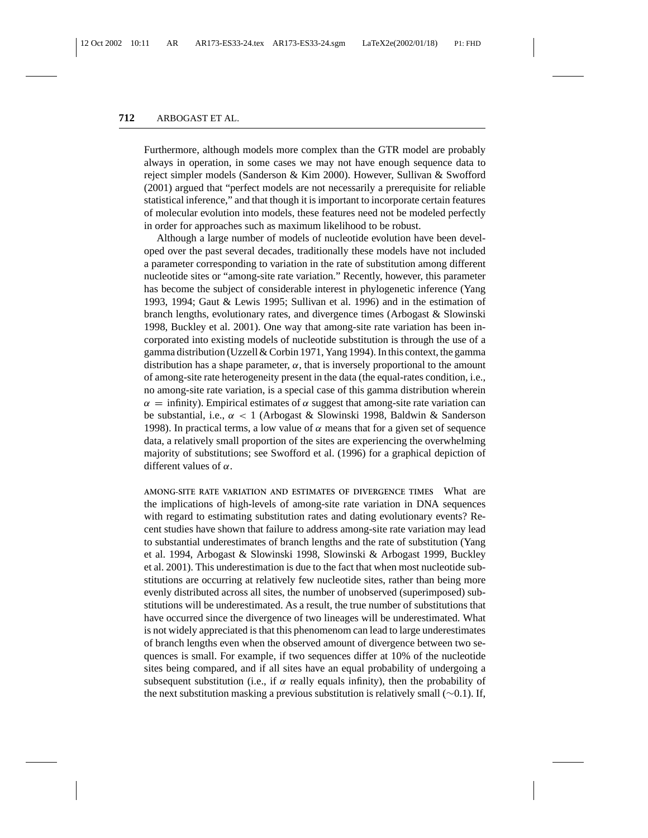Furthermore, although models more complex than the GTR model are probably always in operation, in some cases we may not have enough sequence data to reject simpler models (Sanderson & Kim 2000). However, Sullivan & Swofford (2001) argued that "perfect models are not necessarily a prerequisite for reliable statistical inference," and that though it is important to incorporate certain features of molecular evolution into models, these features need not be modeled perfectly in order for approaches such as maximum likelihood to be robust.

Although a large number of models of nucleotide evolution have been developed over the past several decades, traditionally these models have not included a parameter corresponding to variation in the rate of substitution among different nucleotide sites or "among-site rate variation." Recently, however, this parameter has become the subject of considerable interest in phylogenetic inference (Yang 1993, 1994; Gaut & Lewis 1995; Sullivan et al. 1996) and in the estimation of branch lengths, evolutionary rates, and divergence times (Arbogast & Slowinski 1998, Buckley et al. 2001). One way that among-site rate variation has been incorporated into existing models of nucleotide substitution is through the use of a gamma distribution (Uzzell & Corbin 1971, Yang 1994). In this context, the gamma distribution has a shape parameter,  $\alpha$ , that is inversely proportional to the amount of among-site rate heterogeneity present in the data (the equal-rates condition, i.e., no among-site rate variation, is a special case of this gamma distribution wherein  $\alpha$  = infinity). Empirical estimates of  $\alpha$  suggest that among-site rate variation can be substantial, i.e., α < 1 (Arbogast & Slowinski 1998, Baldwin & Sanderson 1998). In practical terms, a low value of  $\alpha$  means that for a given set of sequence data, a relatively small proportion of the sites are experiencing the overwhelming majority of substitutions; see Swofford et al. (1996) for a graphical depiction of different values of  $\alpha$ .

**AMONG-SITE RATE VARIATION AND ESTIMATES OF DIVERGENCE TIMES** What are the implications of high-levels of among-site rate variation in DNA sequences with regard to estimating substitution rates and dating evolutionary events? Recent studies have shown that failure to address among-site rate variation may lead to substantial underestimates of branch lengths and the rate of substitution (Yang et al. 1994, Arbogast & Slowinski 1998, Slowinski & Arbogast 1999, Buckley et al. 2001). This underestimation is due to the fact that when most nucleotide substitutions are occurring at relatively few nucleotide sites, rather than being more evenly distributed across all sites, the number of unobserved (superimposed) substitutions will be underestimated. As a result, the true number of substitutions that have occurred since the divergence of two lineages will be underestimated. What is not widely appreciated is that this phenomenom can lead to large underestimates of branch lengths even when the observed amount of divergence between two sequences is small. For example, if two sequences differ at 10% of the nucleotide sites being compared, and if all sites have an equal probability of undergoing a subsequent substitution (i.e., if  $\alpha$  really equals infinity), then the probability of the next substitution masking a previous substitution is relatively small (∼0.1). If,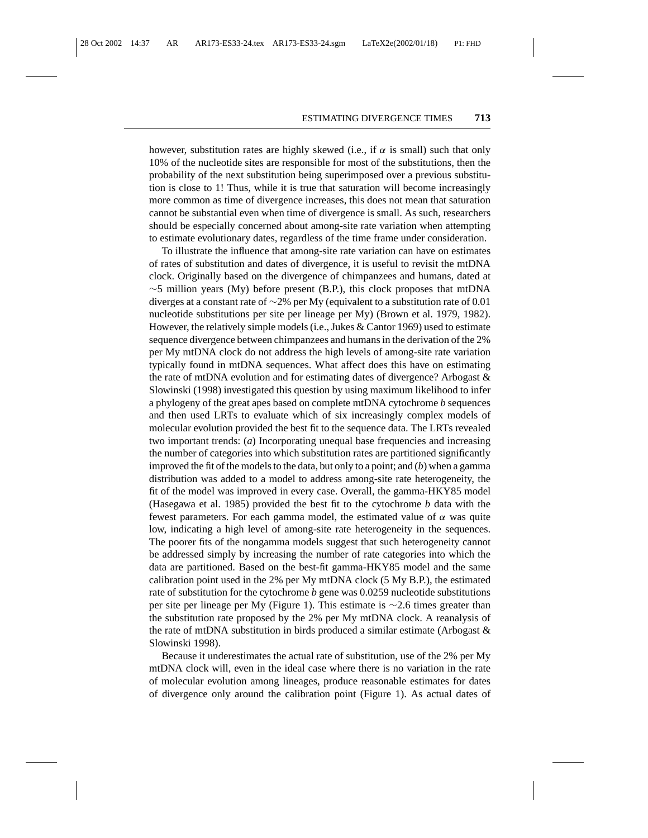however, substitution rates are highly skewed (i.e., if  $\alpha$  is small) such that only 10% of the nucleotide sites are responsible for most of the substitutions, then the probability of the next substitution being superimposed over a previous substitution is close to 1! Thus, while it is true that saturation will become increasingly more common as time of divergence increases, this does not mean that saturation cannot be substantial even when time of divergence is small. As such, researchers should be especially concerned about among-site rate variation when attempting to estimate evolutionary dates, regardless of the time frame under consideration.

To illustrate the influence that among-site rate variation can have on estimates of rates of substitution and dates of divergence, it is useful to revisit the mtDNA clock. Originally based on the divergence of chimpanzees and humans, dated at  $\sim$ 5 million years (My) before present (B.P.), this clock proposes that mtDNA diverges at a constant rate of ∼2% per My (equivalent to a substitution rate of 0.01 nucleotide substitutions per site per lineage per My) (Brown et al. 1979, 1982). However, the relatively simple models (i.e., Jukes & Cantor 1969) used to estimate sequence divergence between chimpanzees and humans in the derivation of the 2% per My mtDNA clock do not address the high levels of among-site rate variation typically found in mtDNA sequences. What affect does this have on estimating the rate of mtDNA evolution and for estimating dates of divergence? Arbogast & Slowinski (1998) investigated this question by using maximum likelihood to infer a phylogeny of the great apes based on complete mtDNA cytochrome *b* sequences and then used LRTs to evaluate which of six increasingly complex models of molecular evolution provided the best fit to the sequence data. The LRTs revealed two important trends: (*a*) Incorporating unequal base frequencies and increasing the number of categories into which substitution rates are partitioned significantly improved the fit of the models to the data, but only to a point; and (*b*) when a gamma distribution was added to a model to address among-site rate heterogeneity, the fit of the model was improved in every case. Overall, the gamma-HKY85 model (Hasegawa et al. 1985) provided the best fit to the cytochrome *b* data with the fewest parameters. For each gamma model, the estimated value of  $\alpha$  was quite low, indicating a high level of among-site rate heterogeneity in the sequences. The poorer fits of the nongamma models suggest that such heterogeneity cannot be addressed simply by increasing the number of rate categories into which the data are partitioned. Based on the best-fit gamma-HKY85 model and the same calibration point used in the 2% per My mtDNA clock (5 My B.P.), the estimated rate of substitution for the cytochrome *b* gene was 0.0259 nucleotide substitutions per site per lineage per My (Figure 1). This estimate is ∼2.6 times greater than the substitution rate proposed by the 2% per My mtDNA clock. A reanalysis of the rate of mtDNA substitution in birds produced a similar estimate (Arbogast  $\&$ Slowinski 1998).

Because it underestimates the actual rate of substitution, use of the 2% per My mtDNA clock will, even in the ideal case where there is no variation in the rate of molecular evolution among lineages, produce reasonable estimates for dates of divergence only around the calibration point (Figure 1). As actual dates of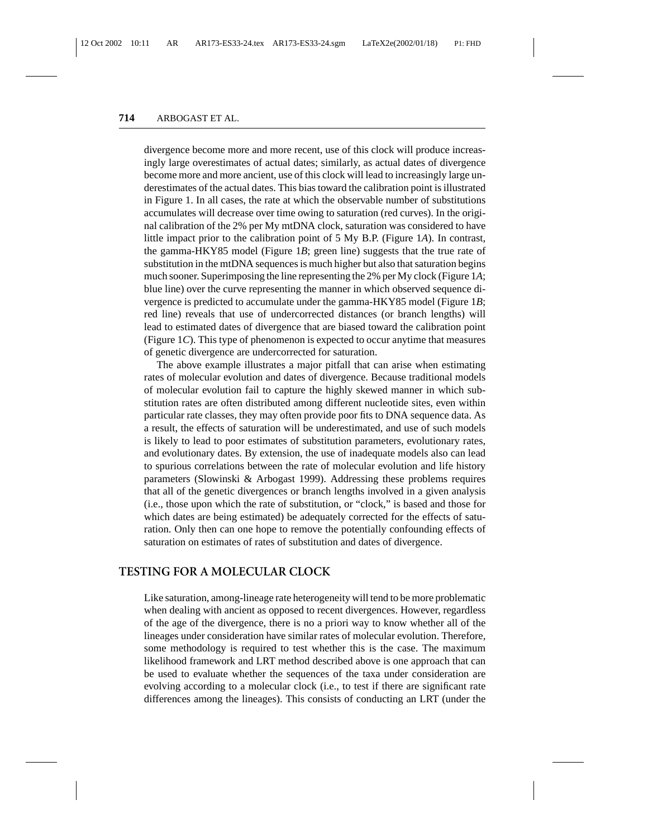divergence become more and more recent, use of this clock will produce increasingly large overestimates of actual dates; similarly, as actual dates of divergence become more and more ancient, use of this clock will lead to increasingly large underestimates of the actual dates. This bias toward the calibration point is illustrated in Figure 1. In all cases, the rate at which the observable number of substitutions accumulates will decrease over time owing to saturation (red curves). In the original calibration of the 2% per My mtDNA clock, saturation was considered to have little impact prior to the calibration point of 5 My B.P. (Figure 1*A*). In contrast, the gamma-HKY85 model (Figure 1*B*; green line) suggests that the true rate of substitution in the mtDNA sequences is much higher but also that saturation begins much sooner. Superimposing the line representing the 2% per My clock (Figure 1*A*; blue line) over the curve representing the manner in which observed sequence divergence is predicted to accumulate under the gamma-HKY85 model (Figure 1*B*; red line) reveals that use of undercorrected distances (or branch lengths) will lead to estimated dates of divergence that are biased toward the calibration point (Figure 1*C*). This type of phenomenon is expected to occur anytime that measures of genetic divergence are undercorrected for saturation.

The above example illustrates a major pitfall that can arise when estimating rates of molecular evolution and dates of divergence. Because traditional models of molecular evolution fail to capture the highly skewed manner in which substitution rates are often distributed among different nucleotide sites, even within particular rate classes, they may often provide poor fits to DNA sequence data. As a result, the effects of saturation will be underestimated, and use of such models is likely to lead to poor estimates of substitution parameters, evolutionary rates, and evolutionary dates. By extension, the use of inadequate models also can lead to spurious correlations between the rate of molecular evolution and life history parameters (Slowinski & Arbogast 1999). Addressing these problems requires that all of the genetic divergences or branch lengths involved in a given analysis (i.e., those upon which the rate of substitution, or "clock," is based and those for which dates are being estimated) be adequately corrected for the effects of saturation. Only then can one hope to remove the potentially confounding effects of saturation on estimates of rates of substitution and dates of divergence.

### **TESTING FOR A MOLECULAR CLOCK**

Like saturation, among-lineage rate heterogeneity will tend to be more problematic when dealing with ancient as opposed to recent divergences. However, regardless of the age of the divergence, there is no a priori way to know whether all of the lineages under consideration have similar rates of molecular evolution. Therefore, some methodology is required to test whether this is the case. The maximum likelihood framework and LRT method described above is one approach that can be used to evaluate whether the sequences of the taxa under consideration are evolving according to a molecular clock (i.e., to test if there are significant rate differences among the lineages). This consists of conducting an LRT (under the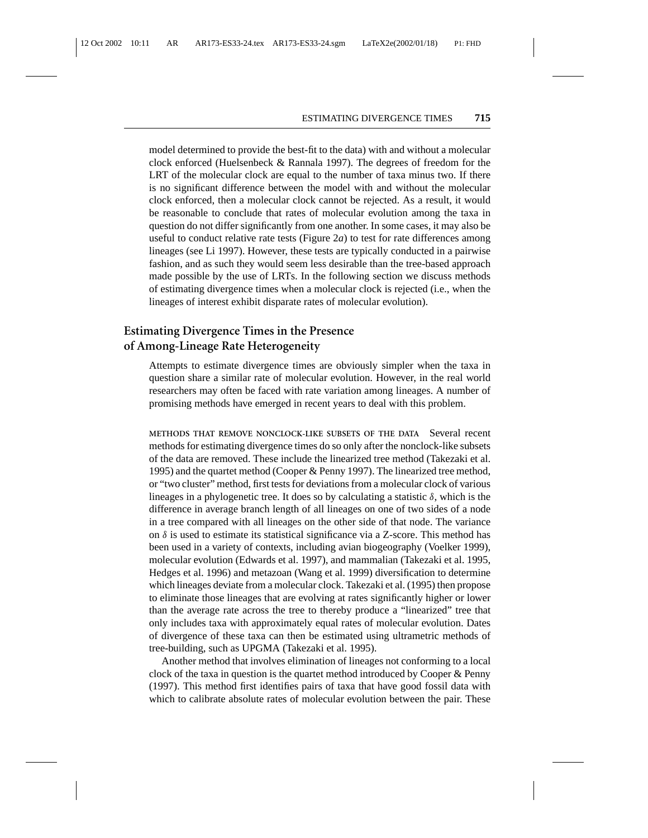model determined to provide the best-fit to the data) with and without a molecular clock enforced (Huelsenbeck & Rannala 1997). The degrees of freedom for the LRT of the molecular clock are equal to the number of taxa minus two. If there is no significant difference between the model with and without the molecular clock enforced, then a molecular clock cannot be rejected. As a result, it would be reasonable to conclude that rates of molecular evolution among the taxa in question do not differ significantly from one another. In some cases, it may also be useful to conduct relative rate tests (Figure 2*a*) to test for rate differences among lineages (see Li 1997). However, these tests are typically conducted in a pairwise fashion, and as such they would seem less desirable than the tree-based approach made possible by the use of LRTs. In the following section we discuss methods of estimating divergence times when a molecular clock is rejected (i.e., when the lineages of interest exhibit disparate rates of molecular evolution).

### **Estimating Divergence Times in the Presence of Among-Lineage Rate Heterogeneity**

Attempts to estimate divergence times are obviously simpler when the taxa in question share a similar rate of molecular evolution. However, in the real world researchers may often be faced with rate variation among lineages. A number of promising methods have emerged in recent years to deal with this problem.

**METHODS THAT REMOVE NONCLOCK-LIKE SUBSETS OF THE DATA** Several recent methods for estimating divergence times do so only after the nonclock-like subsets of the data are removed. These include the linearized tree method (Takezaki et al. 1995) and the quartet method (Cooper & Penny 1997). The linearized tree method, or "two cluster" method, first tests for deviations from a molecular clock of various lineages in a phylogenetic tree. It does so by calculating a statistic  $\delta$ , which is the difference in average branch length of all lineages on one of two sides of a node in a tree compared with all lineages on the other side of that node. The variance on  $\delta$  is used to estimate its statistical significance via a Z-score. This method has been used in a variety of contexts, including avian biogeography (Voelker 1999), molecular evolution (Edwards et al. 1997), and mammalian (Takezaki et al. 1995, Hedges et al. 1996) and metazoan (Wang et al. 1999) diversification to determine which lineages deviate from a molecular clock. Takezaki et al. (1995) then propose to eliminate those lineages that are evolving at rates significantly higher or lower than the average rate across the tree to thereby produce a "linearized" tree that only includes taxa with approximately equal rates of molecular evolution. Dates of divergence of these taxa can then be estimated using ultrametric methods of tree-building, such as UPGMA (Takezaki et al. 1995).

Another method that involves elimination of lineages not conforming to a local clock of the taxa in question is the quartet method introduced by Cooper & Penny (1997). This method first identifies pairs of taxa that have good fossil data with which to calibrate absolute rates of molecular evolution between the pair. These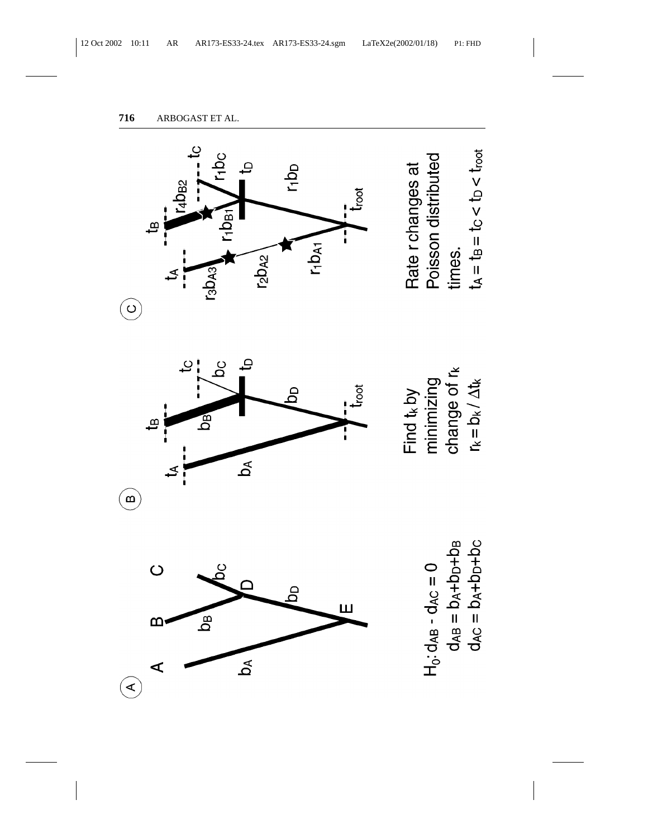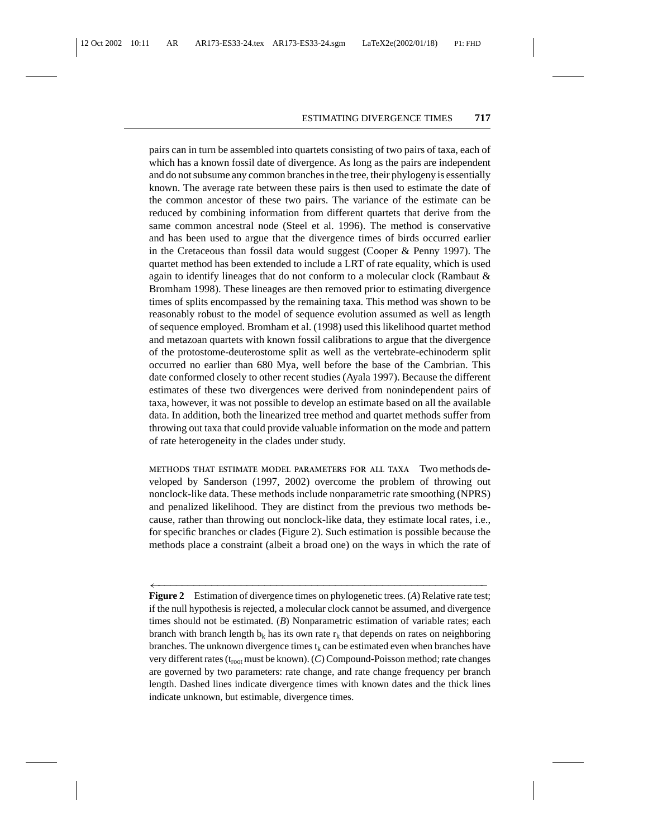pairs can in turn be assembled into quartets consisting of two pairs of taxa, each of which has a known fossil date of divergence. As long as the pairs are independent and do not subsume any common branches in the tree, their phylogeny is essentially known. The average rate between these pairs is then used to estimate the date of the common ancestor of these two pairs. The variance of the estimate can be reduced by combining information from different quartets that derive from the same common ancestral node (Steel et al. 1996). The method is conservative and has been used to argue that the divergence times of birds occurred earlier in the Cretaceous than fossil data would suggest (Cooper & Penny 1997). The quartet method has been extended to include a LRT of rate equality, which is used again to identify lineages that do not conform to a molecular clock (Rambaut & Bromham 1998). These lineages are then removed prior to estimating divergence times of splits encompassed by the remaining taxa. This method was shown to be reasonably robust to the model of sequence evolution assumed as well as length of sequence employed. Bromham et al. (1998) used this likelihood quartet method and metazoan quartets with known fossil calibrations to argue that the divergence of the protostome-deuterostome split as well as the vertebrate-echinoderm split occurred no earlier than 680 Mya, well before the base of the Cambrian. This date conformed closely to other recent studies (Ayala 1997). Because the different estimates of these two divergences were derived from nonindependent pairs of taxa, however, it was not possible to develop an estimate based on all the available data. In addition, both the linearized tree method and quartet methods suffer from throwing out taxa that could provide valuable information on the mode and pattern of rate heterogeneity in the clades under study.

**METHODS THAT ESTIMATE MODEL PARAMETERS FOR ALL TAXA** Two methods developed by Sanderson (1997, 2002) overcome the problem of throwing out nonclock-like data. These methods include nonparametric rate smoothing (NPRS) and penalized likelihood. They are distinct from the previous two methods because, rather than throwing out nonclock-like data, they estimate local rates, i.e., for specific branches or clades (Figure 2). Such estimation is possible because the methods place a constraint (albeit a broad one) on the ways in which the rate of

←−−−−−−−−−−−−−−−−−−−−−−−−−−−−−−−−−−−−−−−−−−−−−−−−−−−−−−−− **Figure 2** Estimation of divergence times on phylogenetic trees. (*A*) Relative rate test; if the null hypothesis is rejected, a molecular clock cannot be assumed, and divergence times should not be estimated. (*B*) Nonparametric estimation of variable rates; each branch with branch length  $b_k$  has its own rate  $r_k$  that depends on rates on neighboring branches. The unknown divergence times  $t_k$  can be estimated even when branches have very different rates (t<sub>root</sub> must be known). (*C*) Compound-Poisson method; rate changes are governed by two parameters: rate change, and rate change frequency per branch length. Dashed lines indicate divergence times with known dates and the thick lines indicate unknown, but estimable, divergence times.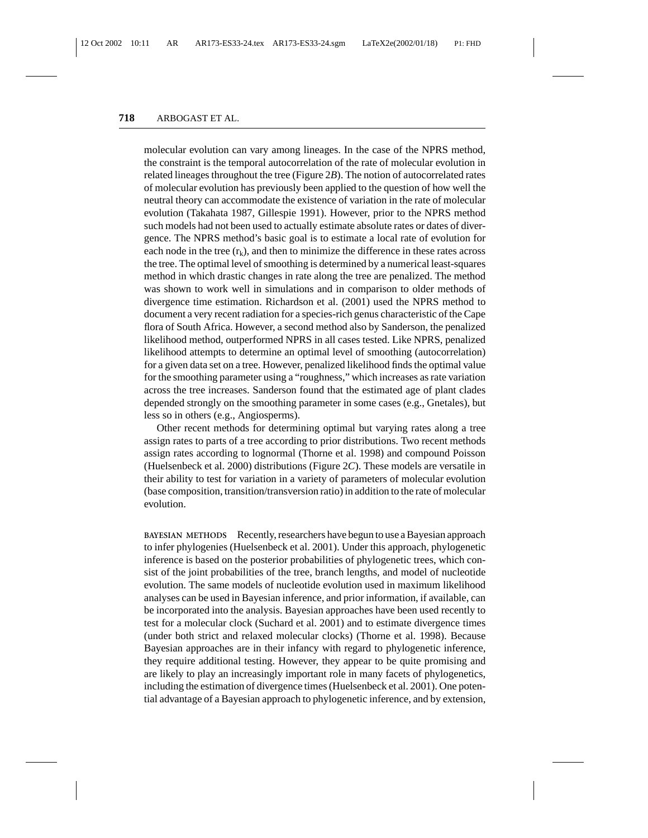molecular evolution can vary among lineages. In the case of the NPRS method, the constraint is the temporal autocorrelation of the rate of molecular evolution in related lineages throughout the tree (Figure 2*B*). The notion of autocorrelated rates of molecular evolution has previously been applied to the question of how well the neutral theory can accommodate the existence of variation in the rate of molecular evolution (Takahata 1987, Gillespie 1991). However, prior to the NPRS method such models had not been used to actually estimate absolute rates or dates of divergence. The NPRS method's basic goal is to estimate a local rate of evolution for each node in the tree  $(r_k)$ , and then to minimize the difference in these rates across the tree. The optimal level of smoothing is determined by a numerical least-squares method in which drastic changes in rate along the tree are penalized. The method was shown to work well in simulations and in comparison to older methods of divergence time estimation. Richardson et al. (2001) used the NPRS method to document a very recent radiation for a species-rich genus characteristic of the Cape flora of South Africa. However, a second method also by Sanderson, the penalized likelihood method, outperformed NPRS in all cases tested. Like NPRS, penalized likelihood attempts to determine an optimal level of smoothing (autocorrelation) for a given data set on a tree. However, penalized likelihood finds the optimal value for the smoothing parameter using a "roughness," which increases as rate variation across the tree increases. Sanderson found that the estimated age of plant clades depended strongly on the smoothing parameter in some cases (e.g., Gnetales), but less so in others (e.g., Angiosperms).

Other recent methods for determining optimal but varying rates along a tree assign rates to parts of a tree according to prior distributions. Two recent methods assign rates according to lognormal (Thorne et al. 1998) and compound Poisson (Huelsenbeck et al. 2000) distributions (Figure 2*C*). These models are versatile in their ability to test for variation in a variety of parameters of molecular evolution (base composition, transition/transversion ratio) in addition to the rate of molecular evolution.

**BAYESIAN METHODS** Recently, researchers have begun to use a Bayesian approach to infer phylogenies (Huelsenbeck et al. 2001). Under this approach, phylogenetic inference is based on the posterior probabilities of phylogenetic trees, which consist of the joint probabilities of the tree, branch lengths, and model of nucleotide evolution. The same models of nucleotide evolution used in maximum likelihood analyses can be used in Bayesian inference, and prior information, if available, can be incorporated into the analysis. Bayesian approaches have been used recently to test for a molecular clock (Suchard et al. 2001) and to estimate divergence times (under both strict and relaxed molecular clocks) (Thorne et al. 1998). Because Bayesian approaches are in their infancy with regard to phylogenetic inference, they require additional testing. However, they appear to be quite promising and are likely to play an increasingly important role in many facets of phylogenetics, including the estimation of divergence times (Huelsenbeck et al. 2001). One potential advantage of a Bayesian approach to phylogenetic inference, and by extension,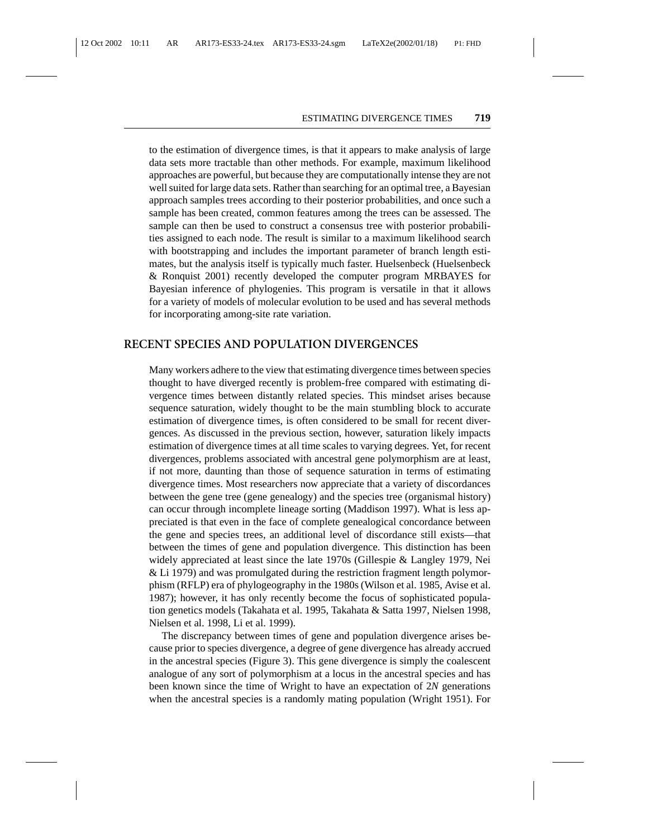to the estimation of divergence times, is that it appears to make analysis of large data sets more tractable than other methods. For example, maximum likelihood approaches are powerful, but because they are computationally intense they are not well suited for large data sets. Rather than searching for an optimal tree, a Bayesian approach samples trees according to their posterior probabilities, and once such a sample has been created, common features among the trees can be assessed. The sample can then be used to construct a consensus tree with posterior probabilities assigned to each node. The result is similar to a maximum likelihood search with bootstrapping and includes the important parameter of branch length estimates, but the analysis itself is typically much faster. Huelsenbeck (Huelsenbeck & Ronquist 2001) recently developed the computer program MRBAYES for Bayesian inference of phylogenies. This program is versatile in that it allows for a variety of models of molecular evolution to be used and has several methods for incorporating among-site rate variation.

#### **RECENT SPECIES AND POPULATION DIVERGENCES**

Many workers adhere to the view that estimating divergence times between species thought to have diverged recently is problem-free compared with estimating divergence times between distantly related species. This mindset arises because sequence saturation, widely thought to be the main stumbling block to accurate estimation of divergence times, is often considered to be small for recent divergences. As discussed in the previous section, however, saturation likely impacts estimation of divergence times at all time scales to varying degrees. Yet, for recent divergences, problems associated with ancestral gene polymorphism are at least, if not more, daunting than those of sequence saturation in terms of estimating divergence times. Most researchers now appreciate that a variety of discordances between the gene tree (gene genealogy) and the species tree (organismal history) can occur through incomplete lineage sorting (Maddison 1997). What is less appreciated is that even in the face of complete genealogical concordance between the gene and species trees, an additional level of discordance still exists—that between the times of gene and population divergence. This distinction has been widely appreciated at least since the late 1970s (Gillespie & Langley 1979, Nei & Li 1979) and was promulgated during the restriction fragment length polymorphism (RFLP) era of phylogeography in the 1980s (Wilson et al. 1985, Avise et al. 1987); however, it has only recently become the focus of sophisticated population genetics models (Takahata et al. 1995, Takahata & Satta 1997, Nielsen 1998, Nielsen et al. 1998, Li et al. 1999).

The discrepancy between times of gene and population divergence arises because prior to species divergence, a degree of gene divergence has already accrued in the ancestral species (Figure 3). This gene divergence is simply the coalescent analogue of any sort of polymorphism at a locus in the ancestral species and has been known since the time of Wright to have an expectation of 2*N* generations when the ancestral species is a randomly mating population (Wright 1951). For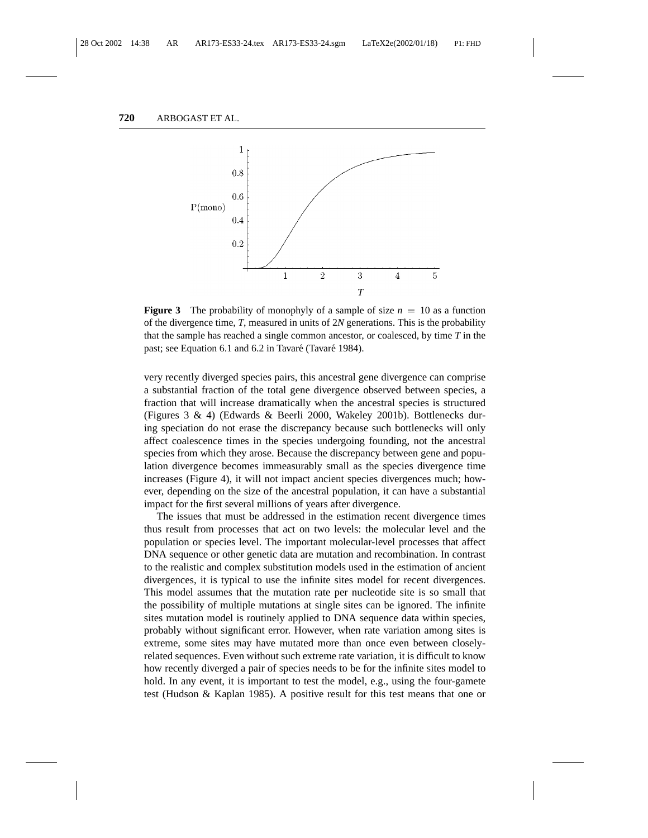

**Figure 3** The probability of monophyly of a sample of size  $n = 10$  as a function of the divergence time, *T*, measured in units of 2*N* generations. This is the probability that the sample has reached a single common ancestor, or coalesced, by time *T* in the past; see Equation 6.1 and 6.2 in Tavaré (Tavaré 1984).

very recently diverged species pairs, this ancestral gene divergence can comprise a substantial fraction of the total gene divergence observed between species, a fraction that will increase dramatically when the ancestral species is structured (Figures 3 & 4) (Edwards & Beerli 2000, Wakeley 2001b). Bottlenecks during speciation do not erase the discrepancy because such bottlenecks will only affect coalescence times in the species undergoing founding, not the ancestral species from which they arose. Because the discrepancy between gene and population divergence becomes immeasurably small as the species divergence time increases (Figure 4), it will not impact ancient species divergences much; however, depending on the size of the ancestral population, it can have a substantial impact for the first several millions of years after divergence.

The issues that must be addressed in the estimation recent divergence times thus result from processes that act on two levels: the molecular level and the population or species level. The important molecular-level processes that affect DNA sequence or other genetic data are mutation and recombination. In contrast to the realistic and complex substitution models used in the estimation of ancient divergences, it is typical to use the infinite sites model for recent divergences. This model assumes that the mutation rate per nucleotide site is so small that the possibility of multiple mutations at single sites can be ignored. The infinite sites mutation model is routinely applied to DNA sequence data within species, probably without significant error. However, when rate variation among sites is extreme, some sites may have mutated more than once even between closelyrelated sequences. Even without such extreme rate variation, it is difficult to know how recently diverged a pair of species needs to be for the infinite sites model to hold. In any event, it is important to test the model, e.g., using the four-gamete test (Hudson & Kaplan 1985). A positive result for this test means that one or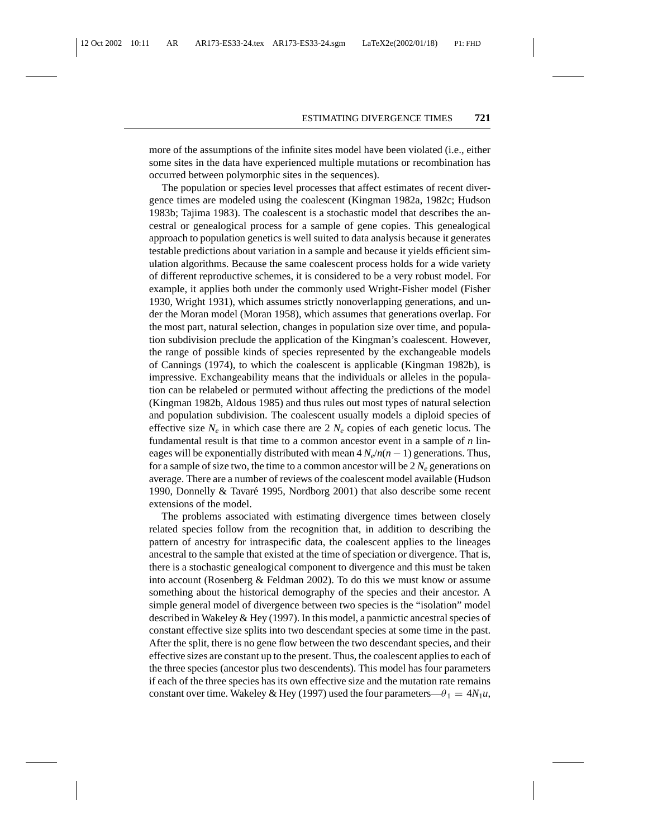more of the assumptions of the infinite sites model have been violated (i.e., either some sites in the data have experienced multiple mutations or recombination has occurred between polymorphic sites in the sequences).

The population or species level processes that affect estimates of recent divergence times are modeled using the coalescent (Kingman 1982a, 1982c; Hudson 1983b; Tajima 1983). The coalescent is a stochastic model that describes the ancestral or genealogical process for a sample of gene copies. This genealogical approach to population genetics is well suited to data analysis because it generates testable predictions about variation in a sample and because it yields efficient simulation algorithms. Because the same coalescent process holds for a wide variety of different reproductive schemes, it is considered to be a very robust model. For example, it applies both under the commonly used Wright-Fisher model (Fisher 1930, Wright 1931), which assumes strictly nonoverlapping generations, and under the Moran model (Moran 1958), which assumes that generations overlap. For the most part, natural selection, changes in population size over time, and population subdivision preclude the application of the Kingman's coalescent. However, the range of possible kinds of species represented by the exchangeable models of Cannings (1974), to which the coalescent is applicable (Kingman 1982b), is impressive. Exchangeability means that the individuals or alleles in the population can be relabeled or permuted without affecting the predictions of the model (Kingman 1982b, Aldous 1985) and thus rules out most types of natural selection and population subdivision. The coalescent usually models a diploid species of effective size  $N_e$  in which case there are 2  $N_e$  copies of each genetic locus. The fundamental result is that time to a common ancestor event in a sample of *n* lineages will be exponentially distributed with mean  $4 N_e/n(n-1)$  generations. Thus, for a sample of size two, the time to a common ancestor will be  $2 N_e$  generations on average. There are a number of reviews of the coalescent model available (Hudson 1990, Donnelly & Tavaré 1995, Nordborg 2001) that also describe some recent extensions of the model.

The problems associated with estimating divergence times between closely related species follow from the recognition that, in addition to describing the pattern of ancestry for intraspecific data, the coalescent applies to the lineages ancestral to the sample that existed at the time of speciation or divergence. That is, there is a stochastic genealogical component to divergence and this must be taken into account (Rosenberg & Feldman 2002). To do this we must know or assume something about the historical demography of the species and their ancestor. A simple general model of divergence between two species is the "isolation" model described in Wakeley & Hey (1997). In this model, a panmictic ancestral species of constant effective size splits into two descendant species at some time in the past. After the split, there is no gene flow between the two descendant species, and their effective sizes are constant up to the present. Thus, the coalescent applies to each of the three species (ancestor plus two descendents). This model has four parameters if each of the three species has its own effective size and the mutation rate remains constant over time. Wakeley & Hey (1997) used the four parameters— $\theta_1 = 4N_1u$ ,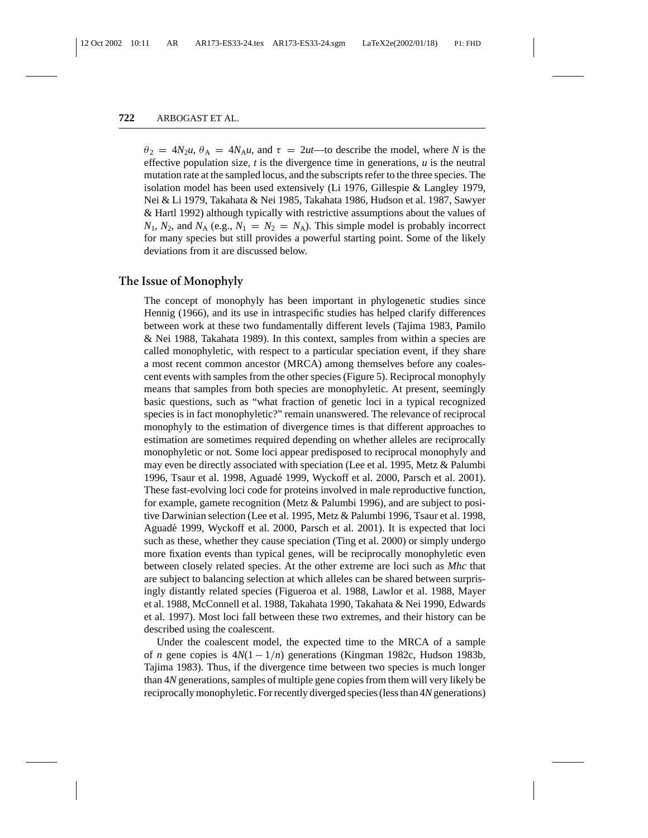$\theta_2 = 4N_2u$ ,  $\theta_A = 4N_Au$ , and  $\tau = 2ut$ —to describe the model, where *N* is the effective population size,  $t$  is the divergence time in generations,  $u$  is the neutral mutation rate at the sampled locus, and the subscripts refer to the three species. The isolation model has been used extensively (Li 1976, Gillespie & Langley 1979, Nei & Li 1979, Takahata & Nei 1985, Takahata 1986, Hudson et al. 1987, Sawyer & Hartl 1992) although typically with restrictive assumptions about the values of  $N_1$ ,  $N_2$ , and  $N_A$  (e.g.,  $N_1 = N_2 = N_A$ ). This simple model is probably incorrect for many species but still provides a powerful starting point. Some of the likely deviations from it are discussed below.

#### **The Issue of Monophyly**

The concept of monophyly has been important in phylogenetic studies since Hennig (1966), and its use in intraspecific studies has helped clarify differences between work at these two fundamentally different levels (Tajima 1983, Pamilo & Nei 1988, Takahata 1989). In this context, samples from within a species are called monophyletic, with respect to a particular speciation event, if they share a most recent common ancestor (MRCA) among themselves before any coalescent events with samples from the other species (Figure 5). Reciprocal monophyly means that samples from both species are monophyletic. At present, seemingly basic questions, such as "what fraction of genetic loci in a typical recognized species is in fact monophyletic?" remain unanswered. The relevance of reciprocal monophyly to the estimation of divergence times is that different approaches to estimation are sometimes required depending on whether alleles are reciprocally monophyletic or not. Some loci appear predisposed to reciprocal monophyly and may even be directly associated with speciation (Lee et al. 1995, Metz & Palumbi 1996, Tsaur et al. 1998, Aguadé 1999, Wyckoff et al. 2000, Parsch et al. 2001). These fast-evolving loci code for proteins involved in male reproductive function, for example, gamete recognition (Metz & Palumbi 1996), and are subject to positive Darwinian selection (Lee et al. 1995, Metz & Palumbi 1996, Tsaur et al. 1998, Aguad´e 1999, Wyckoff et al. 2000, Parsch et al. 2001). It is expected that loci such as these, whether they cause speciation (Ting et al. 2000) or simply undergo more fixation events than typical genes, will be reciprocally monophyletic even between closely related species. At the other extreme are loci such as *Mhc* that are subject to balancing selection at which alleles can be shared between surprisingly distantly related species (Figueroa et al. 1988, Lawlor et al. 1988, Mayer et al. 1988, McConnell et al. 1988, Takahata 1990, Takahata & Nei 1990, Edwards et al. 1997). Most loci fall between these two extremes, and their history can be described using the coalescent.

Under the coalescent model, the expected time to the MRCA of a sample of *n* gene copies is  $4N(1 - 1/n)$  generations (Kingman 1982c, Hudson 1983b, Tajima 1983). Thus, if the divergence time between two species is much longer than 4*N* generations, samples of multiple gene copies from them will very likely be reciprocally monophyletic. For recently diverged species (less than 4*N*generations)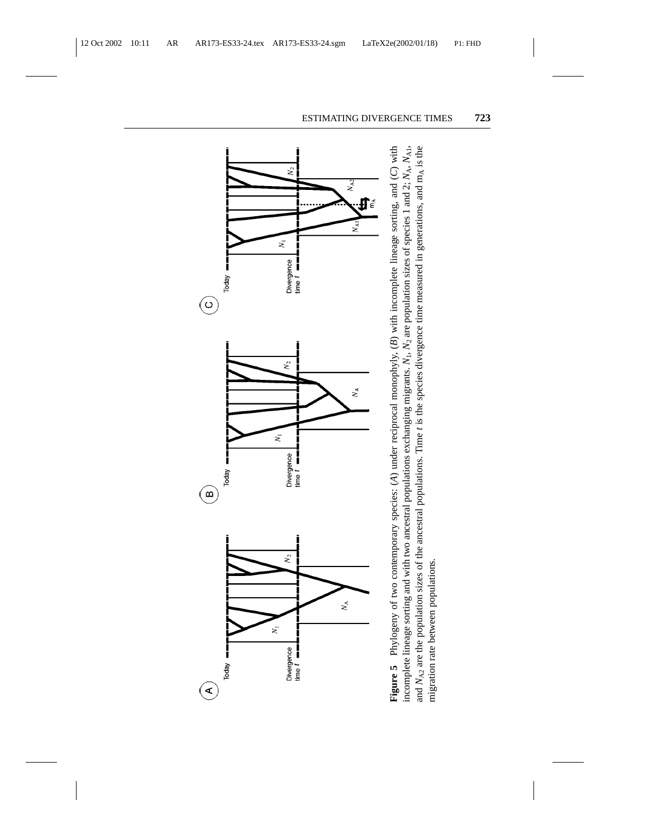

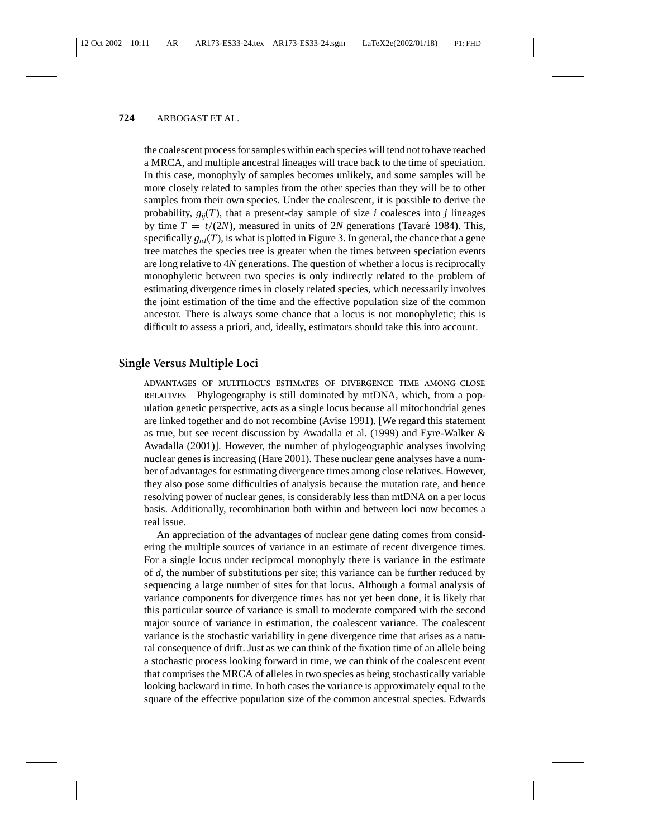the coalescent process for samples within each species will tend not to have reached a MRCA, and multiple ancestral lineages will trace back to the time of speciation. In this case, monophyly of samples becomes unlikely, and some samples will be more closely related to samples from the other species than they will be to other samples from their own species. Under the coalescent, it is possible to derive the probability,  $g_{ij}(T)$ , that a present-day sample of size *i* coalesces into *j* lineages by time  $T = t/(2N)$ , measured in units of 2*N* generations (Tavaré 1984). This, specifically  $g_{nl}(T)$ , is what is plotted in Figure 3. In general, the chance that a gene tree matches the species tree is greater when the times between speciation events are long relative to 4*N* generations. The question of whether a locus is reciprocally monophyletic between two species is only indirectly related to the problem of estimating divergence times in closely related species, which necessarily involves the joint estimation of the time and the effective population size of the common ancestor. There is always some chance that a locus is not monophyletic; this is difficult to assess a priori, and, ideally, estimators should take this into account.

#### **Single Versus Multiple Loci**

**ADVANTAGES OF MULTILOCUS ESTIMATES OF DIVERGENCE TIME AMONG CLOSE RELATIVES** Phylogeography is still dominated by mtDNA, which, from a population genetic perspective, acts as a single locus because all mitochondrial genes are linked together and do not recombine (Avise 1991). [We regard this statement as true, but see recent discussion by Awadalla et al. (1999) and Eyre-Walker & Awadalla (2001)]. However, the number of phylogeographic analyses involving nuclear genes is increasing (Hare 2001). These nuclear gene analyses have a number of advantages for estimating divergence times among close relatives. However, they also pose some difficulties of analysis because the mutation rate, and hence resolving power of nuclear genes, is considerably less than mtDNA on a per locus basis. Additionally, recombination both within and between loci now becomes a real issue.

An appreciation of the advantages of nuclear gene dating comes from considering the multiple sources of variance in an estimate of recent divergence times. For a single locus under reciprocal monophyly there is variance in the estimate of *d*, the number of substitutions per site; this variance can be further reduced by sequencing a large number of sites for that locus. Although a formal analysis of variance components for divergence times has not yet been done, it is likely that this particular source of variance is small to moderate compared with the second major source of variance in estimation, the coalescent variance. The coalescent variance is the stochastic variability in gene divergence time that arises as a natural consequence of drift. Just as we can think of the fixation time of an allele being a stochastic process looking forward in time, we can think of the coalescent event that comprises the MRCA of alleles in two species as being stochastically variable looking backward in time. In both cases the variance is approximately equal to the square of the effective population size of the common ancestral species. Edwards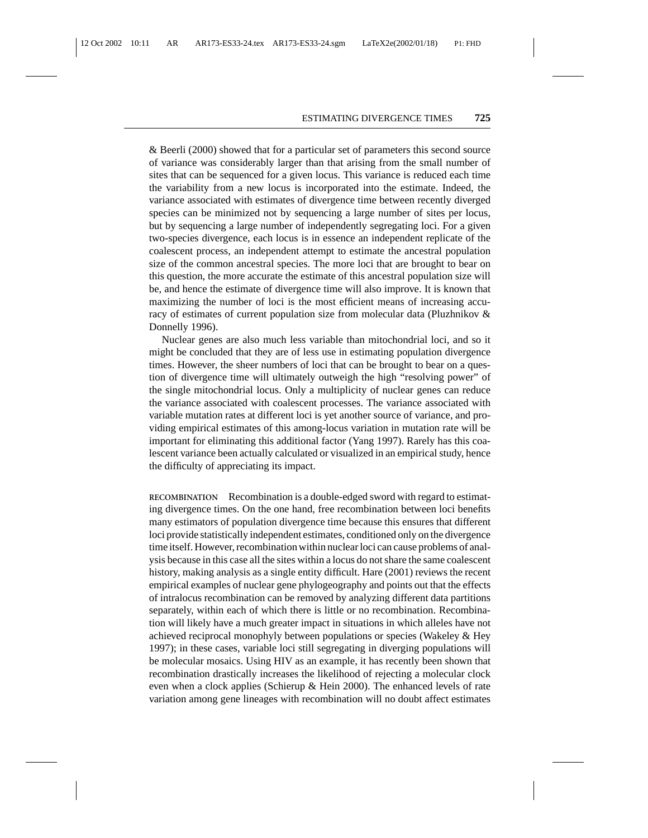& Beerli (2000) showed that for a particular set of parameters this second source of variance was considerably larger than that arising from the small number of sites that can be sequenced for a given locus. This variance is reduced each time the variability from a new locus is incorporated into the estimate. Indeed, the variance associated with estimates of divergence time between recently diverged species can be minimized not by sequencing a large number of sites per locus, but by sequencing a large number of independently segregating loci. For a given two-species divergence, each locus is in essence an independent replicate of the coalescent process, an independent attempt to estimate the ancestral population size of the common ancestral species. The more loci that are brought to bear on this question, the more accurate the estimate of this ancestral population size will be, and hence the estimate of divergence time will also improve. It is known that maximizing the number of loci is the most efficient means of increasing accuracy of estimates of current population size from molecular data (Pluzhnikov & Donnelly 1996).

Nuclear genes are also much less variable than mitochondrial loci, and so it might be concluded that they are of less use in estimating population divergence times. However, the sheer numbers of loci that can be brought to bear on a question of divergence time will ultimately outweigh the high "resolving power" of the single mitochondrial locus. Only a multiplicity of nuclear genes can reduce the variance associated with coalescent processes. The variance associated with variable mutation rates at different loci is yet another source of variance, and providing empirical estimates of this among-locus variation in mutation rate will be important for eliminating this additional factor (Yang 1997). Rarely has this coalescent variance been actually calculated or visualized in an empirical study, hence the difficulty of appreciating its impact.

**RECOMBINATION** Recombination is a double-edged sword with regard to estimating divergence times. On the one hand, free recombination between loci benefits many estimators of population divergence time because this ensures that different loci provide statistically independent estimates, conditioned only on the divergence time itself. However, recombination within nuclear loci can cause problems of analysis because in this case all the sites within a locus do not share the same coalescent history, making analysis as a single entity difficult. Hare (2001) reviews the recent empirical examples of nuclear gene phylogeography and points out that the effects of intralocus recombination can be removed by analyzing different data partitions separately, within each of which there is little or no recombination. Recombination will likely have a much greater impact in situations in which alleles have not achieved reciprocal monophyly between populations or species (Wakeley & Hey 1997); in these cases, variable loci still segregating in diverging populations will be molecular mosaics. Using HIV as an example, it has recently been shown that recombination drastically increases the likelihood of rejecting a molecular clock even when a clock applies (Schierup & Hein 2000). The enhanced levels of rate variation among gene lineages with recombination will no doubt affect estimates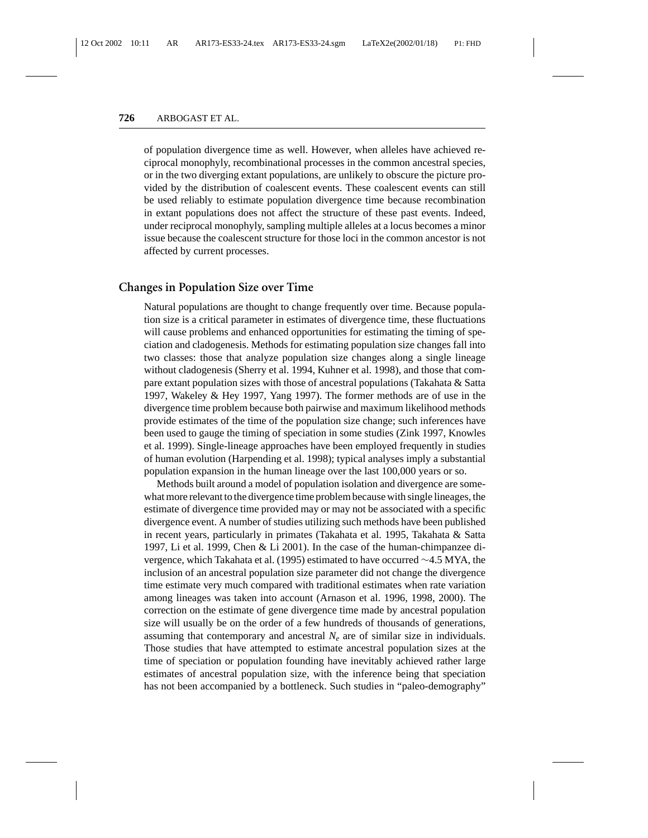of population divergence time as well. However, when alleles have achieved reciprocal monophyly, recombinational processes in the common ancestral species, or in the two diverging extant populations, are unlikely to obscure the picture provided by the distribution of coalescent events. These coalescent events can still be used reliably to estimate population divergence time because recombination in extant populations does not affect the structure of these past events. Indeed, under reciprocal monophyly, sampling multiple alleles at a locus becomes a minor issue because the coalescent structure for those loci in the common ancestor is not affected by current processes.

#### **Changes in Population Size over Time**

Natural populations are thought to change frequently over time. Because population size is a critical parameter in estimates of divergence time, these fluctuations will cause problems and enhanced opportunities for estimating the timing of speciation and cladogenesis. Methods for estimating population size changes fall into two classes: those that analyze population size changes along a single lineage without cladogenesis (Sherry et al. 1994, Kuhner et al. 1998), and those that compare extant population sizes with those of ancestral populations (Takahata & Satta 1997, Wakeley & Hey 1997, Yang 1997). The former methods are of use in the divergence time problem because both pairwise and maximum likelihood methods provide estimates of the time of the population size change; such inferences have been used to gauge the timing of speciation in some studies (Zink 1997, Knowles et al. 1999). Single-lineage approaches have been employed frequently in studies of human evolution (Harpending et al. 1998); typical analyses imply a substantial population expansion in the human lineage over the last 100,000 years or so.

Methods built around a model of population isolation and divergence are somewhat more relevant to the divergence time problem because with single lineages, the estimate of divergence time provided may or may not be associated with a specific divergence event. A number of studies utilizing such methods have been published in recent years, particularly in primates (Takahata et al. 1995, Takahata & Satta 1997, Li et al. 1999, Chen & Li 2001). In the case of the human-chimpanzee divergence, which Takahata et al. (1995) estimated to have occurred ∼4.5 MYA, the inclusion of an ancestral population size parameter did not change the divergence time estimate very much compared with traditional estimates when rate variation among lineages was taken into account (Arnason et al. 1996, 1998, 2000). The correction on the estimate of gene divergence time made by ancestral population size will usually be on the order of a few hundreds of thousands of generations, assuming that contemporary and ancestral  $N_e$  are of similar size in individuals. Those studies that have attempted to estimate ancestral population sizes at the time of speciation or population founding have inevitably achieved rather large estimates of ancestral population size, with the inference being that speciation has not been accompanied by a bottleneck. Such studies in "paleo-demography"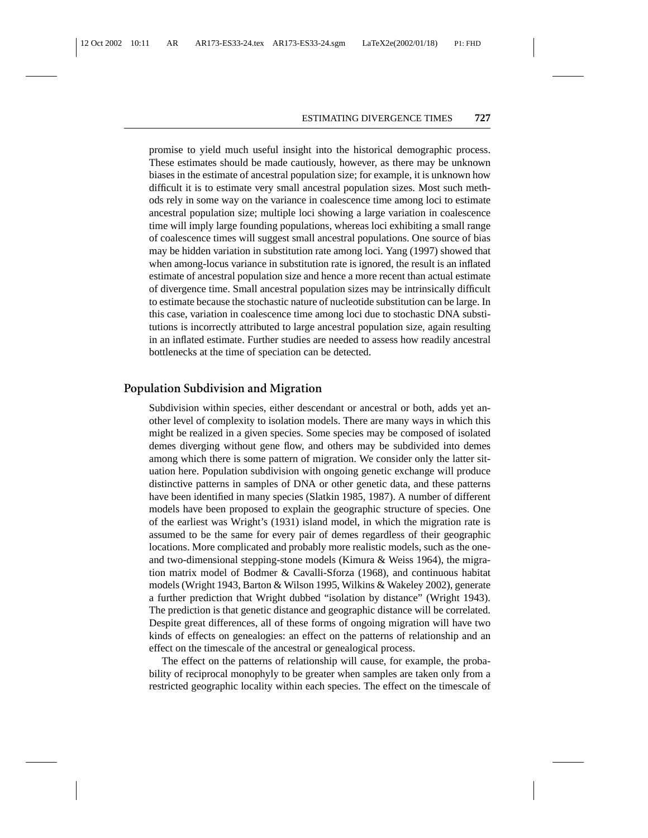promise to yield much useful insight into the historical demographic process. These estimates should be made cautiously, however, as there may be unknown biases in the estimate of ancestral population size; for example, it is unknown how difficult it is to estimate very small ancestral population sizes. Most such methods rely in some way on the variance in coalescence time among loci to estimate ancestral population size; multiple loci showing a large variation in coalescence time will imply large founding populations, whereas loci exhibiting a small range of coalescence times will suggest small ancestral populations. One source of bias may be hidden variation in substitution rate among loci. Yang (1997) showed that when among-locus variance in substitution rate is ignored, the result is an inflated estimate of ancestral population size and hence a more recent than actual estimate of divergence time. Small ancestral population sizes may be intrinsically difficult to estimate because the stochastic nature of nucleotide substitution can be large. In this case, variation in coalescence time among loci due to stochastic DNA substitutions is incorrectly attributed to large ancestral population size, again resulting in an inflated estimate. Further studies are needed to assess how readily ancestral bottlenecks at the time of speciation can be detected.

#### **Population Subdivision and Migration**

Subdivision within species, either descendant or ancestral or both, adds yet another level of complexity to isolation models. There are many ways in which this might be realized in a given species. Some species may be composed of isolated demes diverging without gene flow, and others may be subdivided into demes among which there is some pattern of migration. We consider only the latter situation here. Population subdivision with ongoing genetic exchange will produce distinctive patterns in samples of DNA or other genetic data, and these patterns have been identified in many species (Slatkin 1985, 1987). A number of different models have been proposed to explain the geographic structure of species. One of the earliest was Wright's (1931) island model, in which the migration rate is assumed to be the same for every pair of demes regardless of their geographic locations. More complicated and probably more realistic models, such as the oneand two-dimensional stepping-stone models (Kimura & Weiss 1964), the migration matrix model of Bodmer & Cavalli-Sforza (1968), and continuous habitat models (Wright 1943, Barton & Wilson 1995, Wilkins & Wakeley 2002), generate a further prediction that Wright dubbed "isolation by distance" (Wright 1943). The prediction is that genetic distance and geographic distance will be correlated. Despite great differences, all of these forms of ongoing migration will have two kinds of effects on genealogies: an effect on the patterns of relationship and an effect on the timescale of the ancestral or genealogical process.

The effect on the patterns of relationship will cause, for example, the probability of reciprocal monophyly to be greater when samples are taken only from a restricted geographic locality within each species. The effect on the timescale of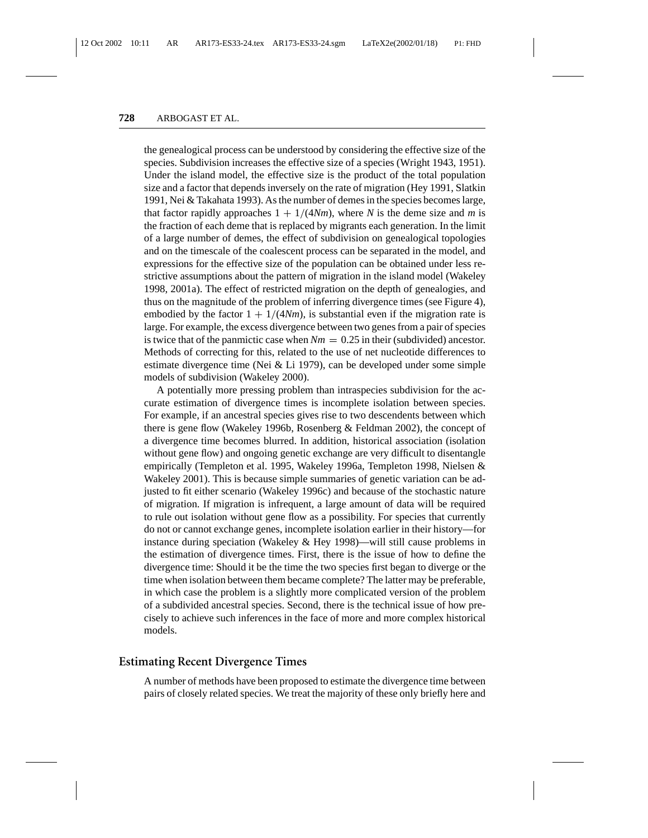the genealogical process can be understood by considering the effective size of the species. Subdivision increases the effective size of a species (Wright 1943, 1951). Under the island model, the effective size is the product of the total population size and a factor that depends inversely on the rate of migration (Hey 1991, Slatkin 1991, Nei & Takahata 1993). As the number of demes in the species becomes large, that factor rapidly approaches  $1 + 1/(4Nm)$ , where *N* is the deme size and *m* is the fraction of each deme that is replaced by migrants each generation. In the limit of a large number of demes, the effect of subdivision on genealogical topologies and on the timescale of the coalescent process can be separated in the model, and expressions for the effective size of the population can be obtained under less restrictive assumptions about the pattern of migration in the island model (Wakeley 1998, 2001a). The effect of restricted migration on the depth of genealogies, and thus on the magnitude of the problem of inferring divergence times (see Figure 4), embodied by the factor  $1 + 1/(4Nm)$ , is substantial even if the migration rate is large. For example, the excess divergence between two genes from a pair of species is twice that of the panmictic case when  $Nm = 0.25$  in their (subdivided) ancestor. Methods of correcting for this, related to the use of net nucleotide differences to estimate divergence time (Nei & Li 1979), can be developed under some simple models of subdivision (Wakeley 2000).

A potentially more pressing problem than intraspecies subdivision for the accurate estimation of divergence times is incomplete isolation between species. For example, if an ancestral species gives rise to two descendents between which there is gene flow (Wakeley 1996b, Rosenberg & Feldman 2002), the concept of a divergence time becomes blurred. In addition, historical association (isolation without gene flow) and ongoing genetic exchange are very difficult to disentangle empirically (Templeton et al. 1995, Wakeley 1996a, Templeton 1998, Nielsen & Wakeley 2001). This is because simple summaries of genetic variation can be adjusted to fit either scenario (Wakeley 1996c) and because of the stochastic nature of migration. If migration is infrequent, a large amount of data will be required to rule out isolation without gene flow as a possibility. For species that currently do not or cannot exchange genes, incomplete isolation earlier in their history—for instance during speciation (Wakeley & Hey 1998)—will still cause problems in the estimation of divergence times. First, there is the issue of how to define the divergence time: Should it be the time the two species first began to diverge or the time when isolation between them became complete? The latter may be preferable, in which case the problem is a slightly more complicated version of the problem of a subdivided ancestral species. Second, there is the technical issue of how precisely to achieve such inferences in the face of more and more complex historical models.

### **Estimating Recent Divergence Times**

A number of methods have been proposed to estimate the divergence time between pairs of closely related species. We treat the majority of these only briefly here and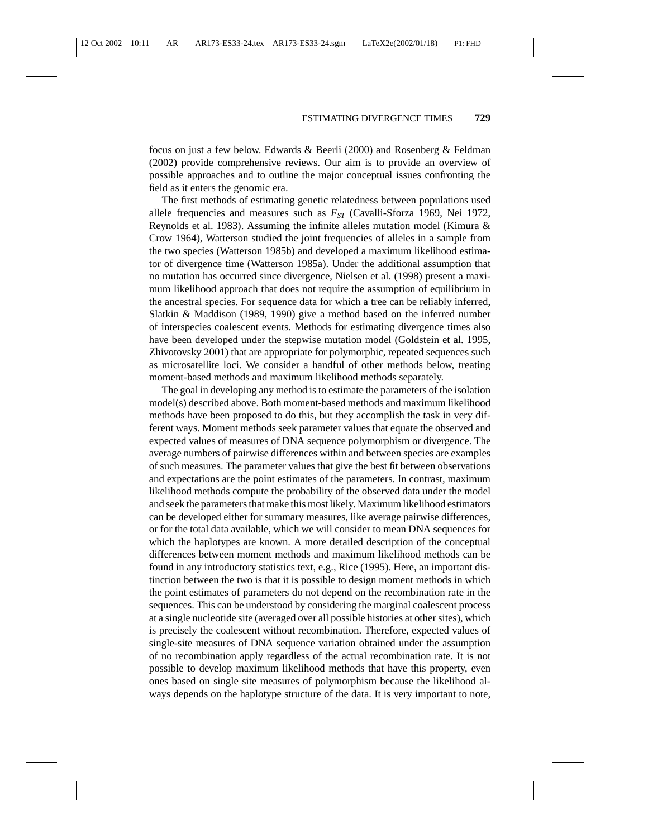focus on just a few below. Edwards & Beerli (2000) and Rosenberg & Feldman (2002) provide comprehensive reviews. Our aim is to provide an overview of possible approaches and to outline the major conceptual issues confronting the field as it enters the genomic era.

The first methods of estimating genetic relatedness between populations used allele frequencies and measures such as  $F_{ST}$  (Cavalli-Sforza 1969, Nei 1972, Reynolds et al. 1983). Assuming the infinite alleles mutation model (Kimura & Crow 1964), Watterson studied the joint frequencies of alleles in a sample from the two species (Watterson 1985b) and developed a maximum likelihood estimator of divergence time (Watterson 1985a). Under the additional assumption that no mutation has occurred since divergence, Nielsen et al. (1998) present a maximum likelihood approach that does not require the assumption of equilibrium in the ancestral species. For sequence data for which a tree can be reliably inferred, Slatkin & Maddison (1989, 1990) give a method based on the inferred number of interspecies coalescent events. Methods for estimating divergence times also have been developed under the stepwise mutation model (Goldstein et al. 1995, Zhivotovsky 2001) that are appropriate for polymorphic, repeated sequences such as microsatellite loci. We consider a handful of other methods below, treating moment-based methods and maximum likelihood methods separately.

The goal in developing any method is to estimate the parameters of the isolation model(s) described above. Both moment-based methods and maximum likelihood methods have been proposed to do this, but they accomplish the task in very different ways. Moment methods seek parameter values that equate the observed and expected values of measures of DNA sequence polymorphism or divergence. The average numbers of pairwise differences within and between species are examples of such measures. The parameter values that give the best fit between observations and expectations are the point estimates of the parameters. In contrast, maximum likelihood methods compute the probability of the observed data under the model and seek the parameters that make this most likely. Maximum likelihood estimators can be developed either for summary measures, like average pairwise differences, or for the total data available, which we will consider to mean DNA sequences for which the haplotypes are known. A more detailed description of the conceptual differences between moment methods and maximum likelihood methods can be found in any introductory statistics text, e.g., Rice (1995). Here, an important distinction between the two is that it is possible to design moment methods in which the point estimates of parameters do not depend on the recombination rate in the sequences. This can be understood by considering the marginal coalescent process at a single nucleotide site (averaged over all possible histories at other sites), which is precisely the coalescent without recombination. Therefore, expected values of single-site measures of DNA sequence variation obtained under the assumption of no recombination apply regardless of the actual recombination rate. It is not possible to develop maximum likelihood methods that have this property, even ones based on single site measures of polymorphism because the likelihood always depends on the haplotype structure of the data. It is very important to note,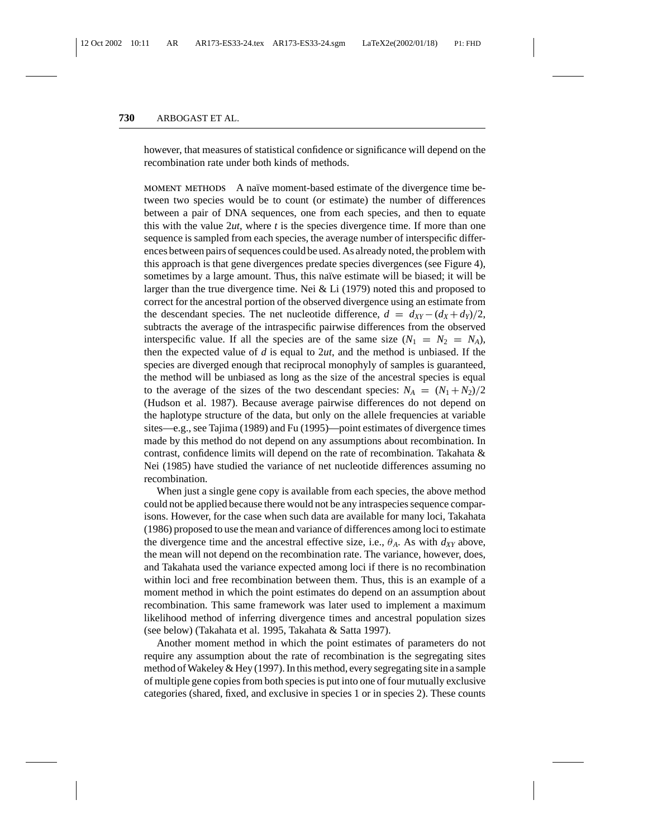however, that measures of statistical confidence or significance will depend on the recombination rate under both kinds of methods.

**MOMENT METHODS** A naïve moment-based estimate of the divergence time between two species would be to count (or estimate) the number of differences between a pair of DNA sequences, one from each species, and then to equate this with the value  $2ut$ , where  $t$  is the species divergence time. If more than one sequence is sampled from each species, the average number of interspecific differences between pairs of sequences could be used. As already noted, the problem with this approach is that gene divergences predate species divergences (see Figure 4), sometimes by a large amount. Thus, this naïve estimate will be biased; it will be larger than the true divergence time. Nei & Li (1979) noted this and proposed to correct for the ancestral portion of the observed divergence using an estimate from the descendant species. The net nucleotide difference,  $d = d_{XY} - (d_X + d_Y)/2$ , subtracts the average of the intraspecific pairwise differences from the observed interspecific value. If all the species are of the same size  $(N_1 = N_2 = N_A)$ , then the expected value of *d* is equal to 2*ut*, and the method is unbiased. If the species are diverged enough that reciprocal monophyly of samples is guaranteed, the method will be unbiased as long as the size of the ancestral species is equal to the average of the sizes of the two descendant species:  $N_A = (N_1 + N_2)/2$ (Hudson et al. 1987). Because average pairwise differences do not depend on the haplotype structure of the data, but only on the allele frequencies at variable sites—e.g., see Tajima (1989) and Fu (1995)—point estimates of divergence times made by this method do not depend on any assumptions about recombination. In contrast, confidence limits will depend on the rate of recombination. Takahata & Nei (1985) have studied the variance of net nucleotide differences assuming no recombination.

When just a single gene copy is available from each species, the above method could not be applied because there would not be any intraspecies sequence comparisons. However, for the case when such data are available for many loci, Takahata (1986) proposed to use the mean and variance of differences among loci to estimate the divergence time and the ancestral effective size, i.e.,  $\theta_A$ . As with  $d_{XY}$  above, the mean will not depend on the recombination rate. The variance, however, does, and Takahata used the variance expected among loci if there is no recombination within loci and free recombination between them. Thus, this is an example of a moment method in which the point estimates do depend on an assumption about recombination. This same framework was later used to implement a maximum likelihood method of inferring divergence times and ancestral population sizes (see below) (Takahata et al. 1995, Takahata & Satta 1997).

Another moment method in which the point estimates of parameters do not require any assumption about the rate of recombination is the segregating sites method of Wakeley & Hey (1997). In this method, every segregating site in a sample of multiple gene copies from both species is put into one of four mutually exclusive categories (shared, fixed, and exclusive in species 1 or in species 2). These counts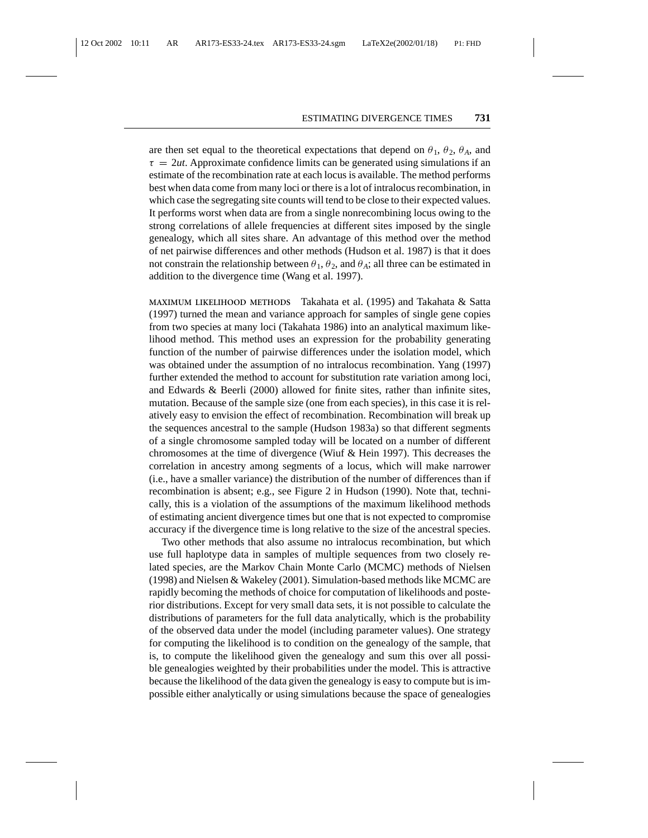are then set equal to the theoretical expectations that depend on  $\theta_1$ ,  $\theta_2$ ,  $\theta_A$ , and  $\tau = 2ut$ . Approximate confidence limits can be generated using simulations if an estimate of the recombination rate at each locus is available. The method performs best when data come from many loci or there is a lot of intralocus recombination, in which case the segregating site counts will tend to be close to their expected values. It performs worst when data are from a single nonrecombining locus owing to the strong correlations of allele frequencies at different sites imposed by the single genealogy, which all sites share. An advantage of this method over the method of net pairwise differences and other methods (Hudson et al. 1987) is that it does not constrain the relationship between  $\theta_1$ ,  $\theta_2$ , and  $\theta_A$ ; all three can be estimated in addition to the divergence time (Wang et al. 1997).

**MAXIMUM LIKELIHOOD METHODS** Takahata et al. (1995) and Takahata & Satta (1997) turned the mean and variance approach for samples of single gene copies from two species at many loci (Takahata 1986) into an analytical maximum likelihood method. This method uses an expression for the probability generating function of the number of pairwise differences under the isolation model, which was obtained under the assumption of no intralocus recombination. Yang (1997) further extended the method to account for substitution rate variation among loci, and Edwards & Beerli (2000) allowed for finite sites, rather than infinite sites, mutation. Because of the sample size (one from each species), in this case it is relatively easy to envision the effect of recombination. Recombination will break up the sequences ancestral to the sample (Hudson 1983a) so that different segments of a single chromosome sampled today will be located on a number of different chromosomes at the time of divergence (Wiuf & Hein 1997). This decreases the correlation in ancestry among segments of a locus, which will make narrower (i.e., have a smaller variance) the distribution of the number of differences than if recombination is absent; e.g., see Figure 2 in Hudson (1990). Note that, technically, this is a violation of the assumptions of the maximum likelihood methods of estimating ancient divergence times but one that is not expected to compromise accuracy if the divergence time is long relative to the size of the ancestral species.

Two other methods that also assume no intralocus recombination, but which use full haplotype data in samples of multiple sequences from two closely related species, are the Markov Chain Monte Carlo (MCMC) methods of Nielsen (1998) and Nielsen & Wakeley (2001). Simulation-based methods like MCMC are rapidly becoming the methods of choice for computation of likelihoods and posterior distributions. Except for very small data sets, it is not possible to calculate the distributions of parameters for the full data analytically, which is the probability of the observed data under the model (including parameter values). One strategy for computing the likelihood is to condition on the genealogy of the sample, that is, to compute the likelihood given the genealogy and sum this over all possible genealogies weighted by their probabilities under the model. This is attractive because the likelihood of the data given the genealogy is easy to compute but is impossible either analytically or using simulations because the space of genealogies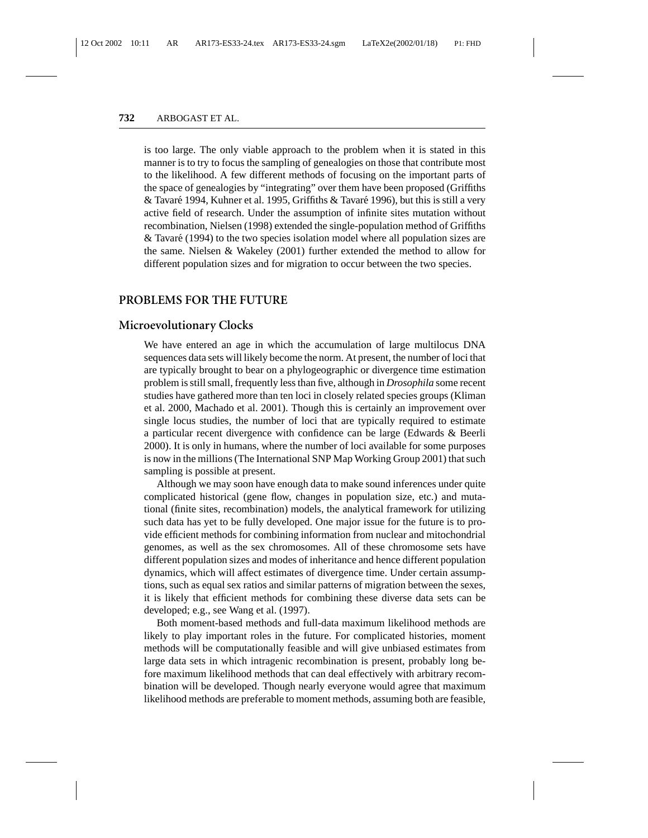is too large. The only viable approach to the problem when it is stated in this manner is to try to focus the sampling of genealogies on those that contribute most to the likelihood. A few different methods of focusing on the important parts of the space of genealogies by "integrating" over them have been proposed (Griffiths & Tavaré 1994, Kuhner et al. 1995, Griffiths & Tavaré 1996), but this is still a very active field of research. Under the assumption of infinite sites mutation without recombination, Nielsen (1998) extended the single-population method of Griffiths  $&$  Tavaré (1994) to the two species isolation model where all population sizes are the same. Nielsen & Wakeley (2001) further extended the method to allow for different population sizes and for migration to occur between the two species.

#### **PROBLEMS FOR THE FUTURE**

#### **Microevolutionary Clocks**

We have entered an age in which the accumulation of large multilocus DNA sequences data sets will likely become the norm. At present, the number of loci that are typically brought to bear on a phylogeographic or divergence time estimation problem is still small, frequently less than five, although in *Drosophila* some recent studies have gathered more than ten loci in closely related species groups (Kliman et al. 2000, Machado et al. 2001). Though this is certainly an improvement over single locus studies, the number of loci that are typically required to estimate a particular recent divergence with confidence can be large (Edwards & Beerli 2000). It is only in humans, where the number of loci available for some purposes is now in the millions (The International SNP Map Working Group 2001) that such sampling is possible at present.

Although we may soon have enough data to make sound inferences under quite complicated historical (gene flow, changes in population size, etc.) and mutational (finite sites, recombination) models, the analytical framework for utilizing such data has yet to be fully developed. One major issue for the future is to provide efficient methods for combining information from nuclear and mitochondrial genomes, as well as the sex chromosomes. All of these chromosome sets have different population sizes and modes of inheritance and hence different population dynamics, which will affect estimates of divergence time. Under certain assumptions, such as equal sex ratios and similar patterns of migration between the sexes, it is likely that efficient methods for combining these diverse data sets can be developed; e.g., see Wang et al. (1997).

Both moment-based methods and full-data maximum likelihood methods are likely to play important roles in the future. For complicated histories, moment methods will be computationally feasible and will give unbiased estimates from large data sets in which intragenic recombination is present, probably long before maximum likelihood methods that can deal effectively with arbitrary recombination will be developed. Though nearly everyone would agree that maximum likelihood methods are preferable to moment methods, assuming both are feasible,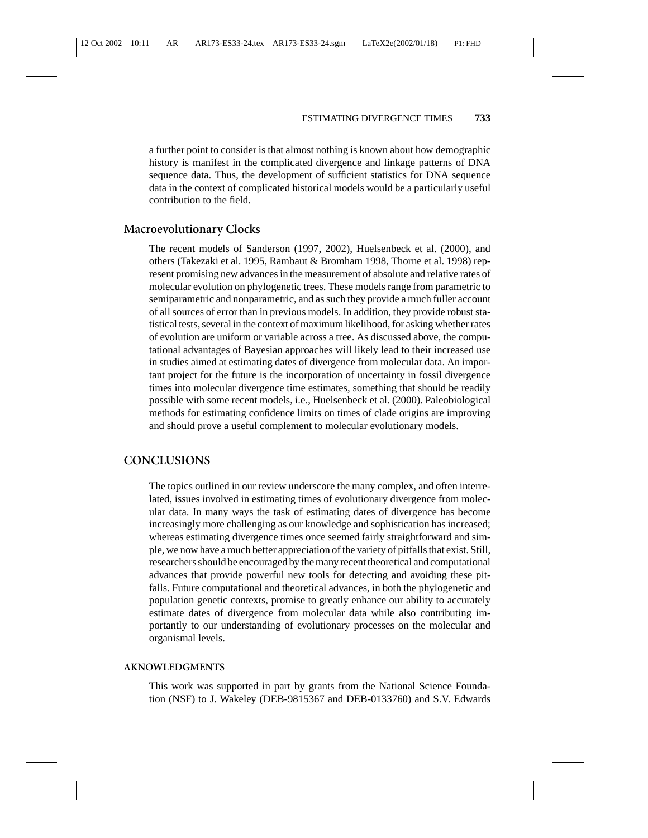a further point to consider is that almost nothing is known about how demographic history is manifest in the complicated divergence and linkage patterns of DNA sequence data. Thus, the development of sufficient statistics for DNA sequence data in the context of complicated historical models would be a particularly useful contribution to the field.

### **Macroevolutionary Clocks**

The recent models of Sanderson (1997, 2002), Huelsenbeck et al. (2000), and others (Takezaki et al. 1995, Rambaut & Bromham 1998, Thorne et al. 1998) represent promising new advances in the measurement of absolute and relative rates of molecular evolution on phylogenetic trees. These models range from parametric to semiparametric and nonparametric, and as such they provide a much fuller account of all sources of error than in previous models. In addition, they provide robust statistical tests, several in the context of maximum likelihood, for asking whether rates of evolution are uniform or variable across a tree. As discussed above, the computational advantages of Bayesian approaches will likely lead to their increased use in studies aimed at estimating dates of divergence from molecular data. An important project for the future is the incorporation of uncertainty in fossil divergence times into molecular divergence time estimates, something that should be readily possible with some recent models, i.e., Huelsenbeck et al. (2000). Paleobiological methods for estimating confidence limits on times of clade origins are improving and should prove a useful complement to molecular evolutionary models.

#### **CONCLUSIONS**

The topics outlined in our review underscore the many complex, and often interrelated, issues involved in estimating times of evolutionary divergence from molecular data. In many ways the task of estimating dates of divergence has become increasingly more challenging as our knowledge and sophistication has increased; whereas estimating divergence times once seemed fairly straightforward and simple, we now have a much better appreciation of the variety of pitfalls that exist. Still, researchers should be encouraged by the many recent theoretical and computational advances that provide powerful new tools for detecting and avoiding these pitfalls. Future computational and theoretical advances, in both the phylogenetic and population genetic contexts, promise to greatly enhance our ability to accurately estimate dates of divergence from molecular data while also contributing importantly to our understanding of evolutionary processes on the molecular and organismal levels.

#### **AKNOWLEDGMENTS**

This work was supported in part by grants from the National Science Foundation (NSF) to J. Wakeley (DEB-9815367 and DEB-0133760) and S.V. Edwards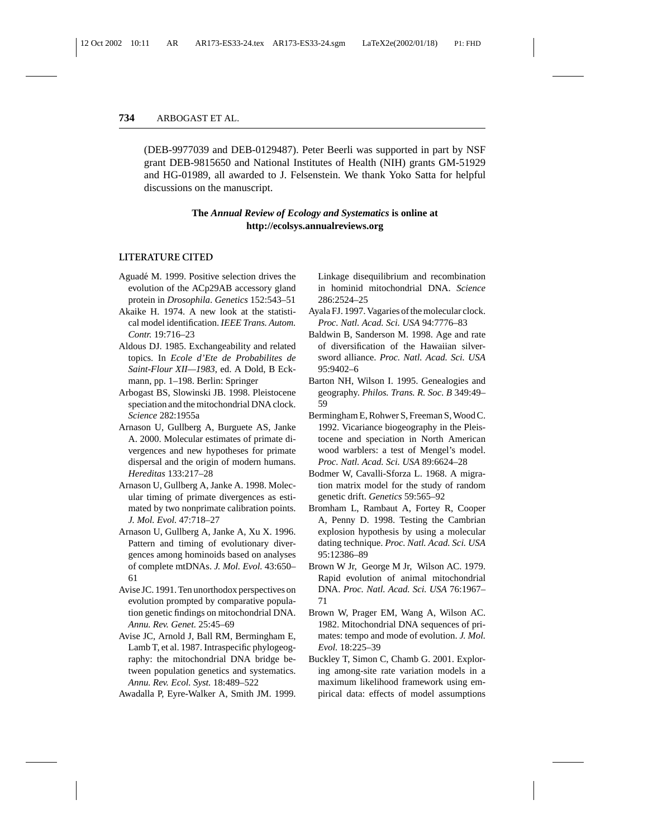(DEB-9977039 and DEB-0129487). Peter Beerli was supported in part by NSF grant DEB-9815650 and National Institutes of Health (NIH) grants GM-51929 and HG-01989, all awarded to J. Felsenstein. We thank Yoko Satta for helpful discussions on the manuscript.

#### **The** *Annual Review of Ecology and Systematics* **is online at http://ecolsys.annualreviews.org**

#### **LITERATURE CITED**

- Aguadé M. 1999. Positive selection drives the evolution of the ACp29AB accessory gland protein in *Drosophila*. *Genetics* 152:543–51
- Akaike H. 1974. A new look at the statistical model identification. *IEEE Trans. Autom. Contr.* 19:716–23
- Aldous DJ. 1985. Exchangeability and related topics. In *Ecole d'Ete de Probabilites de Saint-Flour XII—1983*, ed. A Dold, B Eckmann, pp. 1–198. Berlin: Springer
- Arbogast BS, Slowinski JB. 1998. Pleistocene speciation and the mitochondrial DNA clock. *Science* 282:1955a
- Arnason U, Gullberg A, Burguete AS, Janke A. 2000. Molecular estimates of primate divergences and new hypotheses for primate dispersal and the origin of modern humans. *Hereditas* 133:217–28
- Arnason U, Gullberg A, Janke A. 1998. Molecular timing of primate divergences as estimated by two nonprimate calibration points. *J. Mol. Evol.* 47:718–27
- Arnason U, Gullberg A, Janke A, Xu X. 1996. Pattern and timing of evolutionary divergences among hominoids based on analyses of complete mtDNAs. *J. Mol. Evol.* 43:650– 61
- Avise JC. 1991. Ten unorthodox perspectives on evolution prompted by comparative population genetic findings on mitochondrial DNA. *Annu. Rev. Genet.* 25:45–69
- Avise JC, Arnold J, Ball RM, Bermingham E, Lamb T, et al. 1987. Intraspecific phylogeography: the mitochondrial DNA bridge between population genetics and systematics. *Annu. Rev. Ecol. Syst.* 18:489–522

Awadalla P, Eyre-Walker A, Smith JM. 1999.

Linkage disequilibrium and recombination in hominid mitochondrial DNA. *Science* 286:2524–25

- Ayala FJ. 1997. Vagaries of the molecular clock. *Proc. Natl. Acad. Sci. USA* 94:7776–83
- Baldwin B, Sanderson M. 1998. Age and rate of diversification of the Hawaiian silversword alliance. *Proc. Natl. Acad. Sci. USA* 95:9402–6
- Barton NH, Wilson I. 1995. Genealogies and geography. *Philos. Trans. R. Soc. B* 349:49– 59
- Bermingham E, Rohwer S, Freeman S, Wood C. 1992. Vicariance biogeography in the Pleistocene and speciation in North American wood warblers: a test of Mengel's model. *Proc. Natl. Acad. Sci. USA* 89:6624–28
- Bodmer W, Cavalli-Sforza L. 1968. A migration matrix model for the study of random genetic drift. *Genetics* 59:565–92
- Bromham L, Rambaut A, Fortey R, Cooper A, Penny D. 1998. Testing the Cambrian explosion hypothesis by using a molecular dating technique. *Proc. Natl. Acad. Sci. USA* 95:12386–89
- Brown W Jr, George M Jr, Wilson AC. 1979. Rapid evolution of animal mitochondrial DNA. *Proc. Natl. Acad. Sci. USA* 76:1967– 71
- Brown W, Prager EM, Wang A, Wilson AC. 1982. Mitochondrial DNA sequences of primates: tempo and mode of evolution. *J. Mol. Evol.* 18:225–39
- Buckley T, Simon C, Chamb G. 2001. Exploring among-site rate variation models in a maximum likelihood framework using empirical data: effects of model assumptions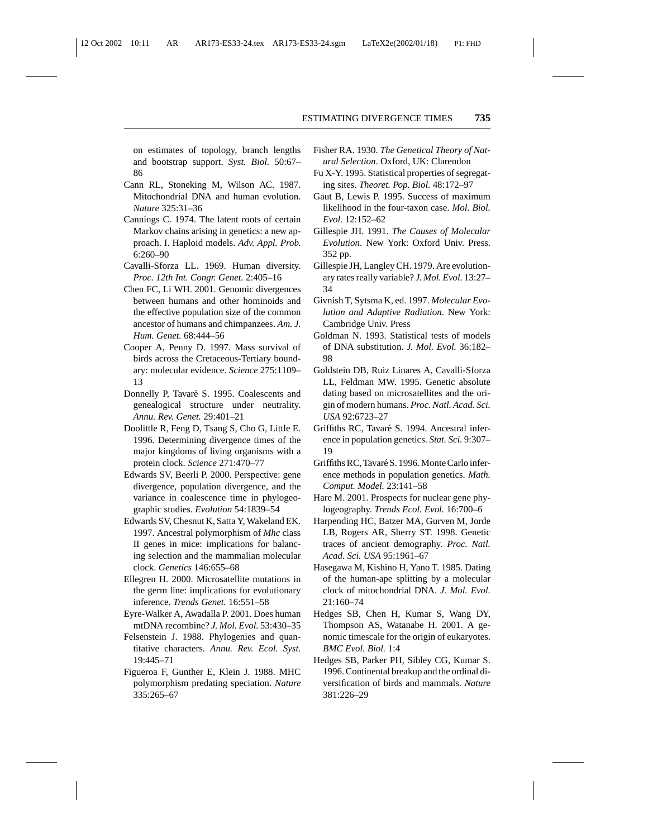on estimates of topology, branch lengths and bootstrap support. *Syst. Biol.* 50:67– 86

- Cann RL, Stoneking M, Wilson AC. 1987. Mitochondrial DNA and human evolution. *Nature* 325:31–36
- Cannings C. 1974. The latent roots of certain Markov chains arising in genetics: a new approach. I. Haploid models. *Adv. Appl. Prob.* 6:260–90
- Cavalli-Sforza LL. 1969. Human diversity. *Proc. 12th Int. Congr. Genet.* 2:405–16
- Chen FC, Li WH. 2001. Genomic divergences between humans and other hominoids and the effective population size of the common ancestor of humans and chimpanzees. *Am. J. Hum. Genet.* 68:444–56
- Cooper A, Penny D. 1997. Mass survival of birds across the Cretaceous-Tertiary boundary: molecular evidence. *Science* 275:1109– 13
- Donnelly P, Tavaré S. 1995. Coalescents and genealogical structure under neutrality. *Annu. Rev. Genet.* 29:401–21
- Doolittle R, Feng D, Tsang S, Cho G, Little E. 1996. Determining divergence times of the major kingdoms of living organisms with a protein clock. *Science* 271:470–77
- Edwards SV, Beerli P. 2000. Perspective: gene divergence, population divergence, and the variance in coalescence time in phylogeographic studies. *Evolution* 54:1839–54
- Edwards SV, Chesnut K, Satta Y, Wakeland EK. 1997. Ancestral polymorphism of *Mhc* class II genes in mice: implications for balancing selection and the mammalian molecular clock. *Genetics* 146:655–68
- Ellegren H. 2000. Microsatellite mutations in the germ line: implications for evolutionary inference. *Trends Genet.* 16:551–58
- Eyre-Walker A, Awadalla P. 2001. Does human mtDNA recombine? *J. Mol. Evol.* 53:430–35
- Felsenstein J. 1988. Phylogenies and quantitative characters. *Annu. Rev. Ecol. Syst.* 19:445–71
- Figueroa F, Gunther E, Klein J. 1988. MHC polymorphism predating speciation. *Nature* 335:265–67
- Fisher RA. 1930. *The Genetical Theory of Natural Selection*. Oxford, UK: Clarendon
- Fu X-Y. 1995. Statistical properties of segregating sites. *Theoret. Pop. Biol.* 48:172–97
- Gaut B, Lewis P. 1995. Success of maximum likelihood in the four-taxon case. *Mol. Biol. Evol.* 12:152–62
- Gillespie JH. 1991. *The Causes of Molecular Evolution*. New York: Oxford Univ. Press. 352 pp.
- Gillespie JH, Langley CH. 1979. Are evolutionary rates really variable? *J. Mol. Evol.* 13:27– 34
- Givnish T, Sytsma K, ed. 1997. *Molecular Evolution and Adaptive Radiation*. New York: Cambridge Univ. Press
- Goldman N. 1993. Statistical tests of models of DNA substitution. *J. Mol. Evol.* 36:182– 98
- Goldstein DB, Ruiz Linares A, Cavalli-Sforza LL, Feldman MW. 1995. Genetic absolute dating based on microsatellites and the origin of modern humans. *Proc. Natl. Acad. Sci. USA* 92:6723–27
- Griffiths RC, Tavaré S. 1994. Ancestral inference in population genetics. *Stat. Sci.* 9:307– 19
- Griffiths RC, Tavaré S. 1996. Monte Carlo inference methods in population genetics. *Math. Comput. Model.* 23:141–58
- Hare M. 2001. Prospects for nuclear gene phylogeography. *Trends Ecol. Evol.* 16:700–6
- Harpending HC, Batzer MA, Gurven M, Jorde LB, Rogers AR, Sherry ST. 1998. Genetic traces of ancient demography. *Proc. Natl. Acad. Sci. USA* 95:1961–67
- Hasegawa M, Kishino H, Yano T. 1985. Dating of the human-ape splitting by a molecular clock of mitochondrial DNA. *J. Mol. Evol.* 21:160–74
- Hedges SB, Chen H, Kumar S, Wang DY, Thompson AS, Watanabe H. 2001. A genomic timescale for the origin of eukaryotes. *BMC Evol. Biol.* 1:4
- Hedges SB, Parker PH, Sibley CG, Kumar S. 1996. Continental breakup and the ordinal diversification of birds and mammals. *Nature* 381:226–29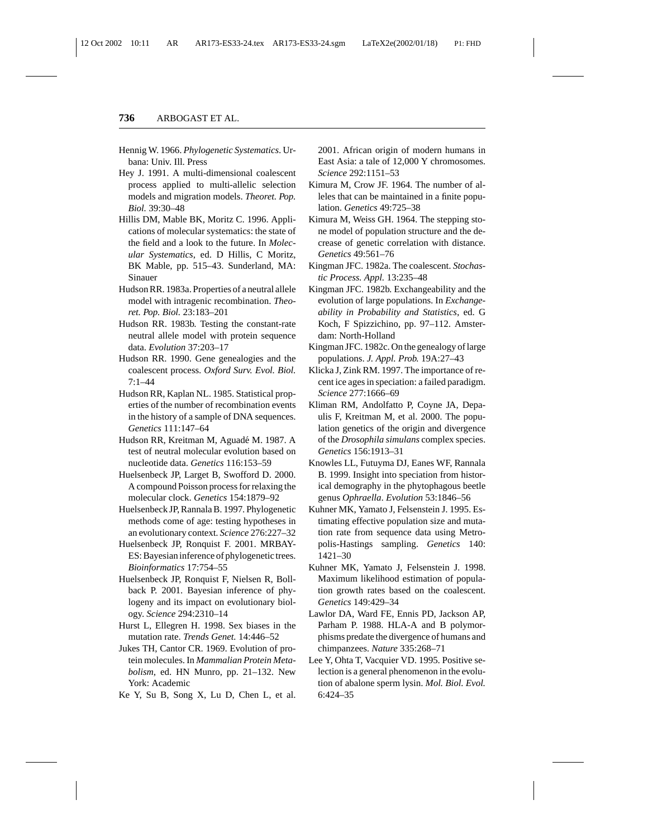- Hennig W. 1966. *Phylogenetic Systematics*. Urbana: Univ. Ill. Press
- Hey J. 1991. A multi-dimensional coalescent process applied to multi-allelic selection models and migration models. *Theoret. Pop. Biol.* 39:30–48
- Hillis DM, Mable BK, Moritz C. 1996. Applications of molecular systematics: the state of the field and a look to the future. In *Molecular Systematics*, ed. D Hillis, C Moritz, BK Mable, pp. 515–43. Sunderland, MA: Sinauer
- Hudson RR. 1983a. Properties of a neutral allele model with intragenic recombination. *Theoret. Pop. Biol.* 23:183–201
- Hudson RR. 1983b. Testing the constant-rate neutral allele model with protein sequence data. *Evolution* 37:203–17
- Hudson RR. 1990. Gene genealogies and the coalescent process. *Oxford Surv. Evol. Biol.*  $7:1–44$
- Hudson RR, Kaplan NL. 1985. Statistical properties of the number of recombination events in the history of a sample of DNA sequences. *Genetics* 111:147–64
- Hudson RR, Kreitman M, Aguadé M. 1987. A test of neutral molecular evolution based on nucleotide data. *Genetics* 116:153–59
- Huelsenbeck JP, Larget B, Swofford D. 2000. A compound Poisson process for relaxing the molecular clock. *Genetics* 154:1879–92
- Huelsenbeck JP, Rannala B. 1997. Phylogenetic methods come of age: testing hypotheses in an evolutionary context. *Science* 276:227–32
- Huelsenbeck JP, Ronquist F. 2001. MRBAY-ES: Bayesian inference of phylogenetic trees. *Bioinformatics* 17:754–55
- Huelsenbeck JP, Ronquist F, Nielsen R, Bollback P. 2001. Bayesian inference of phylogeny and its impact on evolutionary biology. *Science* 294:2310–14
- Hurst L, Ellegren H. 1998. Sex biases in the mutation rate. *Trends Genet.* 14:446–52
- Jukes TH, Cantor CR. 1969. Evolution of protein molecules. In *Mammalian Protein Metabolism*, ed. HN Munro, pp. 21–132. New York: Academic
- Ke Y, Su B, Song X, Lu D, Chen L, et al.

2001. African origin of modern humans in East Asia: a tale of 12,000 Y chromosomes. *Science* 292:1151–53

- Kimura M, Crow JF. 1964. The number of alleles that can be maintained in a finite population. *Genetics* 49:725–38
- Kimura M, Weiss GH. 1964. The stepping stone model of population structure and the decrease of genetic correlation with distance. *Genetics* 49:561–76
- Kingman JFC. 1982a. The coalescent. *Stochastic Process. Appl.* 13:235–48
- Kingman JFC. 1982b. Exchangeability and the evolution of large populations. In *Exchangeability in Probability and Statistics*, ed. G Koch, F Spizzichino, pp. 97–112. Amsterdam: North-Holland
- Kingman JFC. 1982c. On the genealogy of large populations. *J. Appl. Prob.* 19A:27–43
- Klicka J, Zink RM. 1997. The importance of recent ice ages in speciation: a failed paradigm. *Science* 277:1666–69
- Kliman RM, Andolfatto P, Coyne JA, Depaulis F, Kreitman M, et al. 2000. The population genetics of the origin and divergence of the *Drosophila simulans* complex species. *Genetics* 156:1913–31
- Knowles LL, Futuyma DJ, Eanes WF, Rannala B. 1999. Insight into speciation from historical demography in the phytophagous beetle genus *Ophraella*. *Evolution* 53:1846–56
- Kuhner MK, Yamato J, Felsenstein J. 1995. Estimating effective population size and mutation rate from sequence data using Metropolis-Hastings sampling. *Genetics* 140: 1421–30
- Kuhner MK, Yamato J, Felsenstein J. 1998. Maximum likelihood estimation of population growth rates based on the coalescent. *Genetics* 149:429–34
- Lawlor DA, Ward FE, Ennis PD, Jackson AP, Parham P. 1988. HLA-A and B polymorphisms predate the divergence of humans and chimpanzees. *Nature* 335:268–71
- Lee Y, Ohta T, Vacquier VD. 1995. Positive selection is a general phenomenon in the evolution of abalone sperm lysin. *Mol. Biol. Evol.* 6:424–35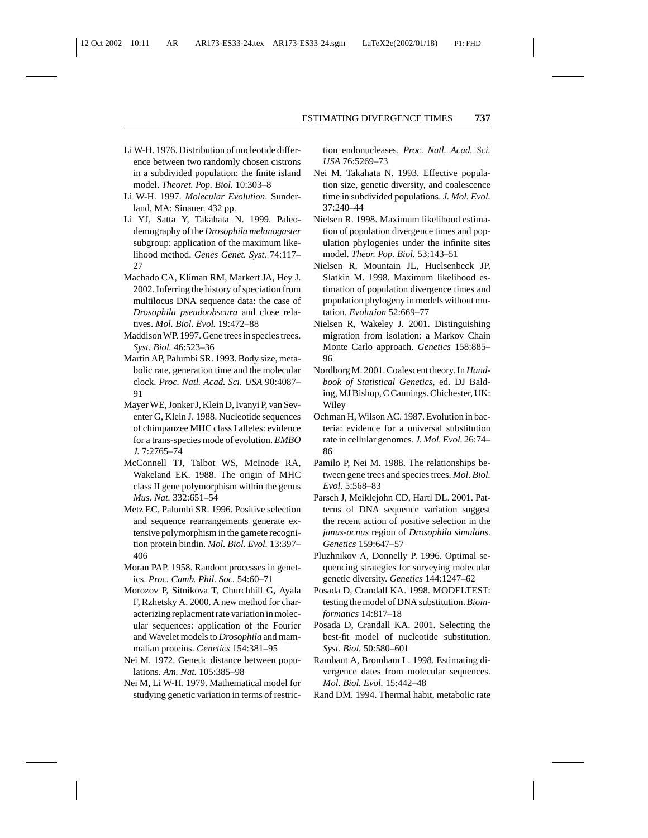- Li W-H. 1976. Distribution of nucleotide difference between two randomly chosen cistrons in a subdivided population: the finite island model. *Theoret. Pop. Biol.* 10:303–8
- Li W-H. 1997. *Molecular Evolution*. Sunderland, MA: Sinauer. 432 pp.
- Li YJ, Satta Y, Takahata N. 1999. Paleodemography of the *Drosophila melanogaster* subgroup: application of the maximum likelihood method. *Genes Genet. Syst.* 74:117– 27
- Machado CA, Kliman RM, Markert JA, Hey J. 2002. Inferring the history of speciation from multilocus DNA sequence data: the case of *Drosophila pseudoobscura* and close relatives. *Mol. Biol. Evol.* 19:472–88
- Maddison WP. 1997. Gene trees in species trees. *Syst. Biol.* 46:523–36
- Martin AP, Palumbi SR. 1993. Body size, metabolic rate, generation time and the molecular clock. *Proc. Natl. Acad. Sci. USA* 90:4087– 91
- Mayer WE, Jonker J, Klein D, Ivanyi P, van Seventer G, Klein J. 1988. Nucleotide sequences of chimpanzee MHC class I alleles: evidence for a trans-species mode of evolution. *EMBO J.* 7:2765–74
- McConnell TJ, Talbot WS, McInode RA, Wakeland EK. 1988. The origin of MHC class II gene polymorphism within the genus *Mus. Nat.* 332:651–54
- Metz EC, Palumbi SR. 1996. Positive selection and sequence rearrangements generate extensive polymorphism in the gamete recognition protein bindin. *Mol. Biol. Evol.* 13:397– 406
- Moran PAP. 1958. Random processes in genetics. *Proc. Camb. Phil. Soc.* 54:60–71
- Morozov P, Sitnikova T, Churchhill G, Ayala F, Rzhetsky A. 2000. A new method for characterizing replacment rate variation in molecular sequences: application of the Fourier and Wavelet models to *Drosophila* and mammalian proteins. *Genetics* 154:381–95
- Nei M. 1972. Genetic distance between populations. *Am. Nat.* 105:385–98
- Nei M, Li W-H. 1979. Mathematical model for studying genetic variation in terms of restric-

tion endonucleases. *Proc. Natl. Acad. Sci. USA* 76:5269–73

- Nei M, Takahata N. 1993. Effective population size, genetic diversity, and coalescence time in subdivided populations. *J. Mol. Evol.* 37:240–44
- Nielsen R. 1998. Maximum likelihood estimation of population divergence times and population phylogenies under the infinite sites model. *Theor. Pop. Biol.* 53:143–51
- Nielsen R, Mountain JL, Huelsenbeck JP, Slatkin M. 1998. Maximum likelihood estimation of population divergence times and population phylogeny in models without mutation. *Evolution* 52:669–77
- Nielsen R, Wakeley J. 2001. Distinguishing migration from isolation: a Markov Chain Monte Carlo approach. *Genetics* 158:885– 96
- Nordborg M. 2001. Coalescent theory. In *Handbook of Statistical Genetics*, ed. DJ Balding, MJ Bishop, C Cannings. Chichester, UK: Wiley
- Ochman H, Wilson AC. 1987. Evolution in bacteria: evidence for a universal substitution rate in cellular genomes. *J. Mol. Evol.* 26:74– 86
- Pamilo P, Nei M. 1988. The relationships between gene trees and species trees. *Mol. Biol. Evol.* 5:568–83
- Parsch J, Meiklejohn CD, Hartl DL. 2001. Patterns of DNA sequence variation suggest the recent action of positive selection in the *janus-ocnus* region of *Drosophila simulans*. *Genetics* 159:647–57
- Pluzhnikov A, Donnelly P. 1996. Optimal sequencing strategies for surveying molecular genetic diversity. *Genetics* 144:1247–62
- Posada D, Crandall KA. 1998. MODELTEST: testing the model of DNA substitution.*Bioinformatics* 14:817–18
- Posada D, Crandall KA. 2001. Selecting the best-fit model of nucleotide substitution. *Syst. Biol.* 50:580–601
- Rambaut A, Bromham L. 1998. Estimating divergence dates from molecular sequences. *Mol. Biol. Evol.* 15:442–48
- Rand DM. 1994. Thermal habit, metabolic rate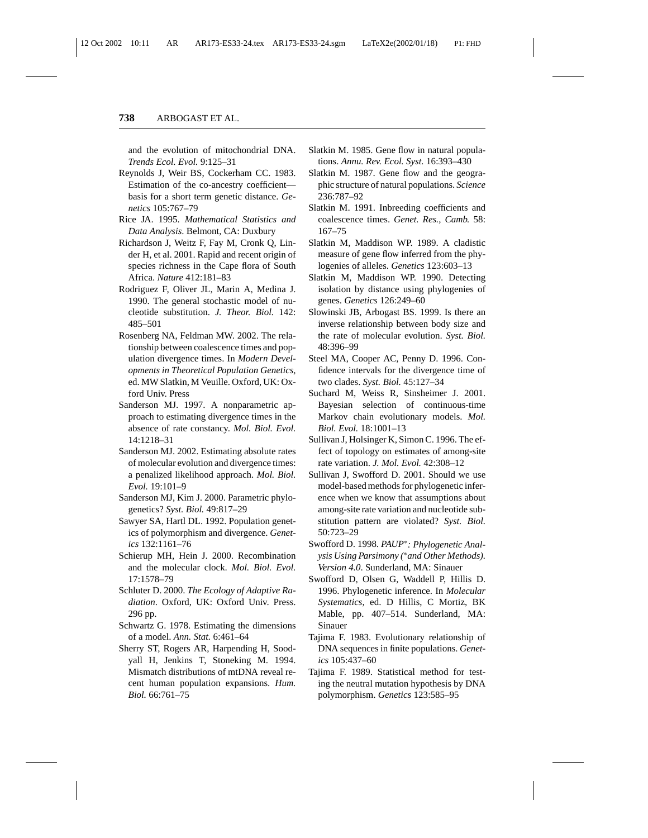and the evolution of mitochondrial DNA. *Trends Ecol. Evol.* 9:125–31

- Reynolds J, Weir BS, Cockerham CC. 1983. Estimation of the co-ancestry coefficient basis for a short term genetic distance. *Genetics* 105:767–79
- Rice JA. 1995. *Mathematical Statistics and Data Analysis*. Belmont, CA: Duxbury
- Richardson J, Weitz F, Fay M, Cronk Q, Linder H, et al. 2001. Rapid and recent origin of species richness in the Cape flora of South Africa. *Nature* 412:181–83
- Rodriguez F, Oliver JL, Marin A, Medina J. 1990. The general stochastic model of nucleotide substitution. *J. Theor. Biol.* 142: 485–501
- Rosenberg NA, Feldman MW. 2002. The relationship between coalescence times and population divergence times. In *Modern Developments in Theoretical Population Genetics*, ed. MW Slatkin, M Veuille. Oxford, UK: Oxford Univ. Press
- Sanderson MJ. 1997. A nonparametric approach to estimating divergence times in the absence of rate constancy. *Mol. Biol. Evol.* 14:1218–31
- Sanderson MJ. 2002. Estimating absolute rates of molecular evolution and divergence times: a penalized likelihood approach. *Mol. Biol. Evol.* 19:101–9
- Sanderson MJ, Kim J. 2000. Parametric phylogenetics? *Syst. Biol.* 49:817–29
- Sawyer SA, Hartl DL. 1992. Population genetics of polymorphism and divergence. *Genetics* 132:1161–76
- Schierup MH, Hein J. 2000. Recombination and the molecular clock. *Mol. Biol. Evol.* 17:1578–79
- Schluter D. 2000. *The Ecology of Adaptive Radiation*. Oxford, UK: Oxford Univ. Press. 296 pp.
- Schwartz G. 1978. Estimating the dimensions of a model. *Ann. Stat.* 6:461–64
- Sherry ST, Rogers AR, Harpending H, Soodyall H, Jenkins T, Stoneking M. 1994. Mismatch distributions of mtDNA reveal recent human population expansions. *Hum. Biol.* 66:761–75
- Slatkin M. 1985. Gene flow in natural populations. *Annu. Rev. Ecol. Syst.* 16:393–430
- Slatkin M. 1987. Gene flow and the geographic structure of natural populations. *Science* 236:787–92
- Slatkin M. 1991. Inbreeding coefficients and coalescence times. *Genet. Res., Camb.* 58: 167–75
- Slatkin M, Maddison WP. 1989. A cladistic measure of gene flow inferred from the phylogenies of alleles. *Genetics* 123:603–13
- Slatkin M, Maddison WP. 1990. Detecting isolation by distance using phylogenies of genes. *Genetics* 126:249–60
- Slowinski JB, Arbogast BS. 1999. Is there an inverse relationship between body size and the rate of molecular evolution. *Syst. Biol.* 48:396–99
- Steel MA, Cooper AC, Penny D. 1996. Confidence intervals for the divergence time of two clades. *Syst. Biol.* 45:127–34
- Suchard M, Weiss R, Sinsheimer J. 2001. Bayesian selection of continuous-time Markov chain evolutionary models. *Mol. Biol. Evol.* 18:1001–13
- Sullivan J, Holsinger K, Simon C. 1996. The effect of topology on estimates of among-site rate variation. *J. Mol. Evol.* 42:308–12
- Sullivan J, Swofford D. 2001. Should we use model-based methods for phylogenetic inference when we know that assumptions about among-site rate variation and nucleotide substitution pattern are violated? *Syst. Biol.* 50:723–29
- Swofford D. 1998. *PAUP*∗*: Phylogenetic Analysis Using Parsimony (*∗*and Other Methods). Version 4.0*. Sunderland, MA: Sinauer
- Swofford D, Olsen G, Waddell P, Hillis D. 1996. Phylogenetic inference. In *Molecular Systematics*, ed. D Hillis, C Mortiz, BK Mable, pp. 407–514. Sunderland, MA: Sinauer
- Tajima F. 1983. Evolutionary relationship of DNA sequences in finite populations. *Genetics* 105:437–60
- Tajima F. 1989. Statistical method for testing the neutral mutation hypothesis by DNA polymorphism. *Genetics* 123:585–95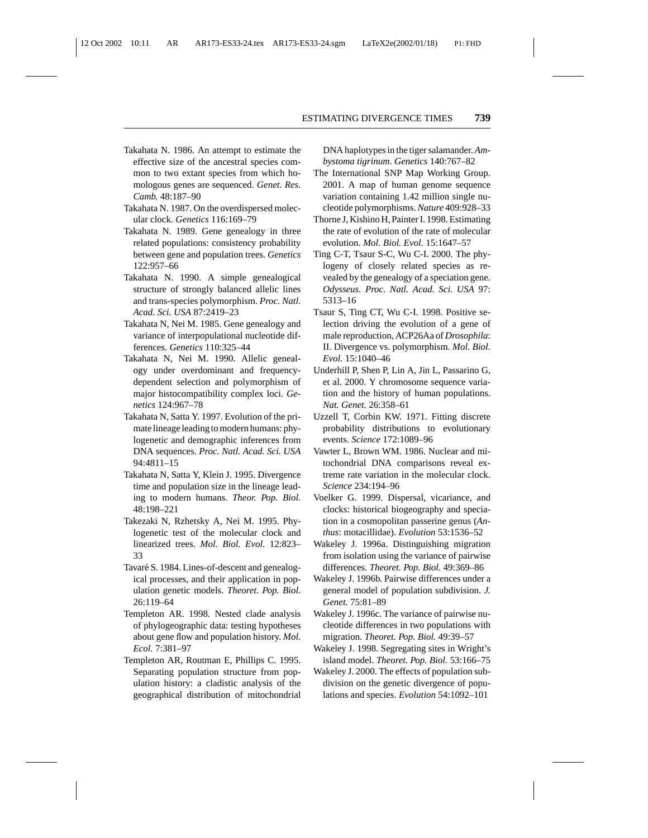- Takahata N. 1986. An attempt to estimate the effective size of the ancestral species common to two extant species from which homologous genes are sequenced. *Genet. Res. Camb.* 48:187–90
- Takahata N. 1987. On the overdispersed molecular clock. *Genetics* 116:169–79
- Takahata N. 1989. Gene genealogy in three related populations: consistency probability between gene and population trees. *Genetics* 122:957–66
- Takahata N. 1990. A simple genealogical structure of strongly balanced allelic lines and trans-species polymorphism. *Proc. Natl. Acad. Sci. USA* 87:2419–23
- Takahata N, Nei M. 1985. Gene genealogy and variance of interpopulational nucleotide differences. *Genetics* 110:325–44
- Takahata N, Nei M. 1990. Allelic genealogy under overdominant and frequencydependent selection and polymorphism of major histocompatibility complex loci. *Genetics* 124:967–78
- Takahata N, Satta Y. 1997. Evolution of the primate lineage leading to modern humans: phylogenetic and demographic inferences from DNA sequences. *Proc. Natl. Acad. Sci. USA* 94:4811–15
- Takahata N, Satta Y, Klein J. 1995. Divergence time and population size in the lineage leading to modern humans. *Theor. Pop. Biol.* 48:198–221
- Takezaki N, Rzhetsky A, Nei M. 1995. Phylogenetic test of the molecular clock and linearized trees. *Mol. Biol. Evol.* 12:823– 33
- Tavaré S. 1984. Lines-of-descent and genealogical processes, and their application in population genetic models. *Theoret. Pop. Biol.* 26:119–64
- Templeton AR. 1998. Nested clade analysis of phylogeographic data: testing hypotheses about gene flow and population history. *Mol. Ecol.* 7:381–97
- Templeton AR, Routman E, Phillips C. 1995. Separating population structure from population history: a cladistic analysis of the geographical distribution of mitochondrial

DNA haplotypes in the tiger salamander. *Ambystoma tigrinum*. *Genetics* 140:767–82

- The International SNP Map Working Group. 2001. A map of human genome sequence variation containing 1.42 million single nucleotide polymorphisms. *Nature* 409:928–33
- Thorne J, Kishino H, Painter I. 1998. Estimating the rate of evolution of the rate of molecular evolution. *Mol. Biol. Evol.* 15:1647–57
- Ting C-T, Tsaur S-C, Wu C-I. 2000. The phylogeny of closely related species as revealed by the genealogy of a speciation gene. *Odysseus. Proc. Natl. Acad. Sci. USA* 97: 5313–16
- Tsaur S, Ting CT, Wu C-I. 1998. Positive selection driving the evolution of a gene of male reproduction, ACP26Aa of *Drosophila*: II. Divergence vs. polymorphism. *Mol. Biol. Evol.* 15:1040–46
- Underhill P, Shen P, Lin A, Jin L, Passarino G, et al. 2000. Y chromosome sequence variation and the history of human populations. *Nat. Genet.* 26:358–61
- Uzzell T, Corbin KW. 1971. Fitting discrete probability distributions to evolutionary events. *Science* 172:1089–96
- Vawter L, Brown WM. 1986. Nuclear and mitochondrial DNA comparisons reveal extreme rate variation in the molecular clock. *Science* 234:194–96
- Voelker G. 1999. Dispersal, vicariance, and clocks: historical biogeography and speciation in a cosmopolitan passerine genus (*Anthus*: motacillidae). *Evolution* 53:1536–52
- Wakeley J. 1996a. Distinguishing migration from isolation using the variance of pairwise differences. *Theoret. Pop. Biol.* 49:369–86
- Wakeley J. 1996b. Pairwise differences under a general model of population subdivision. *J. Genet.* 75:81–89
- Wakeley J. 1996c. The variance of pairwise nucleotide differences in two populations with migration. *Theoret. Pop. Biol.* 49:39–57
- Wakeley J. 1998. Segregating sites in Wright's island model. *Theoret. Pop. Biol.* 53:166–75
- Wakeley J. 2000. The effects of population subdivision on the genetic divergence of populations and species. *Evolution* 54:1092–101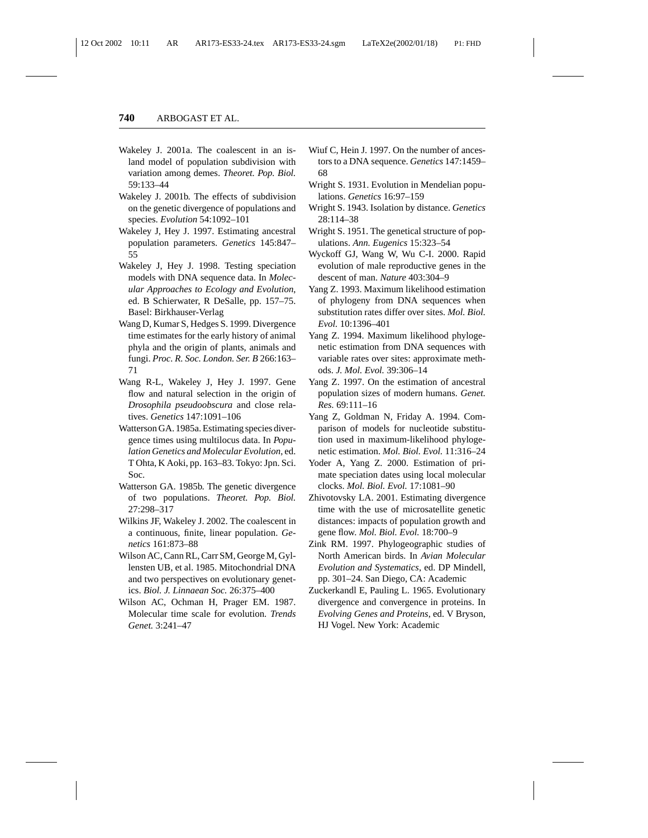- Wakeley J. 2001a. The coalescent in an island model of population subdivision with variation among demes. *Theoret. Pop. Biol.* 59:133–44
- Wakeley J. 2001b. The effects of subdivision on the genetic divergence of populations and species. *Evolution* 54:1092–101
- Wakeley J, Hey J. 1997. Estimating ancestral population parameters. *Genetics* 145:847– 55
- Wakeley J, Hey J. 1998. Testing speciation models with DNA sequence data. In *Molecular Approaches to Ecology and Evolution*, ed. B Schierwater, R DeSalle, pp. 157–75. Basel: Birkhauser-Verlag
- Wang D, Kumar S, Hedges S. 1999. Divergence time estimates for the early history of animal phyla and the origin of plants, animals and fungi. *Proc. R. Soc. London. Ser. B* 266:163– 71
- Wang R-L, Wakeley J, Hey J. 1997. Gene flow and natural selection in the origin of *Drosophila pseudoobscura* and close relatives. *Genetics* 147:1091–106
- Watterson GA. 1985a. Estimating species divergence times using multilocus data. In *Population Genetics and Molecular Evolution*, ed. T Ohta, K Aoki, pp. 163–83. Tokyo: Jpn. Sci. Soc.
- Watterson GA. 1985b. The genetic divergence of two populations. *Theoret. Pop. Biol.* 27:298–317
- Wilkins JF, Wakeley J. 2002. The coalescent in a continuous, finite, linear population. *Genetics* 161:873–88
- Wilson AC, Cann RL, Carr SM, George M, Gyllensten UB, et al. 1985. Mitochondrial DNA and two perspectives on evolutionary genetics. *Biol. J. Linnaean Soc.* 26:375–400
- Wilson AC, Ochman H, Prager EM. 1987. Molecular time scale for evolution. *Trends Genet.* 3:241–47
- Wiuf C, Hein J. 1997. On the number of ancestors to a DNA sequence. *Genetics* 147:1459– 68
- Wright S. 1931. Evolution in Mendelian populations. *Genetics* 16:97–159
- Wright S. 1943. Isolation by distance. *Genetics* 28:114–38
- Wright S. 1951. The genetical structure of populations. *Ann. Eugenics* 15:323–54
- Wyckoff GJ, Wang W, Wu C-I. 2000. Rapid evolution of male reproductive genes in the descent of man. *Nature* 403:304–9
- Yang Z. 1993. Maximum likelihood estimation of phylogeny from DNA sequences when substitution rates differ over sites. *Mol. Biol. Evol.* 10:1396–401
- Yang Z. 1994. Maximum likelihood phylogenetic estimation from DNA sequences with variable rates over sites: approximate methods. *J. Mol. Evol.* 39:306–14
- Yang Z. 1997. On the estimation of ancestral population sizes of modern humans. *Genet. Res.* 69:111–16
- Yang Z, Goldman N, Friday A. 1994. Comparison of models for nucleotide substitution used in maximum-likelihood phylogenetic estimation. *Mol. Biol. Evol.* 11:316–24
- Yoder A, Yang Z. 2000. Estimation of primate speciation dates using local molecular clocks. *Mol. Biol. Evol.* 17:1081–90
- Zhivotovsky LA. 2001. Estimating divergence time with the use of microsatellite genetic distances: impacts of population growth and gene flow. *Mol. Biol. Evol.* 18:700–9
- Zink RM. 1997. Phylogeographic studies of North American birds. In *Avian Molecular Evolution and Systematics*, ed. DP Mindell, pp. 301–24. San Diego, CA: Academic
- Zuckerkandl E, Pauling L. 1965. Evolutionary divergence and convergence in proteins. In *Evolving Genes and Proteins*, ed. V Bryson, HJ Vogel. New York: Academic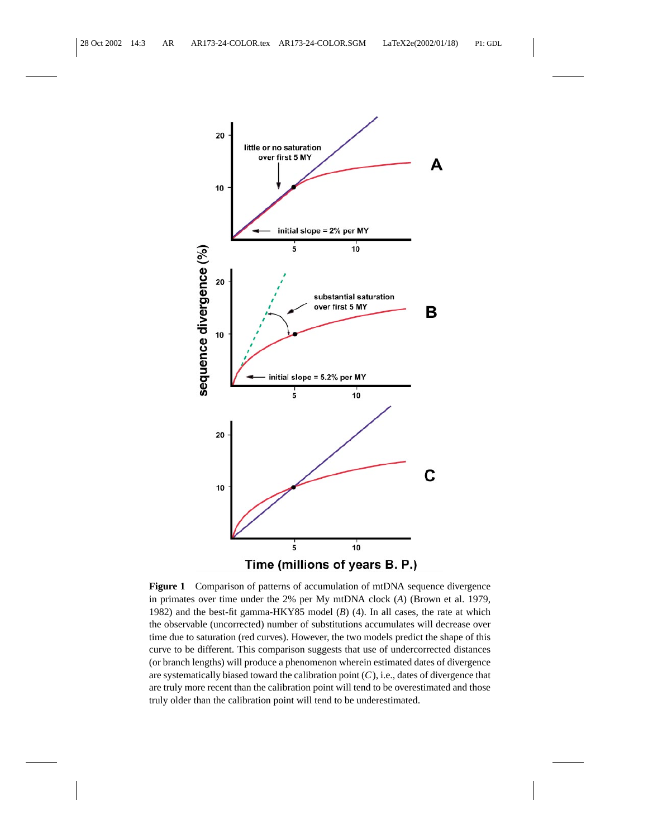

**Figure 1** Comparison of patterns of accumulation of mtDNA sequence divergence in primates over time under the 2% per My mtDNA clock (*A*) (Brown et al. 1979, 1982) and the best-fit gamma-HKY85 model (*B*) (4). In all cases, the rate at which the observable (uncorrected) number of substitutions accumulates will decrease over time due to saturation (red curves). However, the two models predict the shape of this curve to be different. This comparison suggests that use of undercorrected distances (or branch lengths) will produce a phenomenon wherein estimated dates of divergence are systematically biased toward the calibration point (*C*), i.e., dates of divergence that are truly more recent than the calibration point will tend to be overestimated and those truly older than the calibration point will tend to be underestimated.